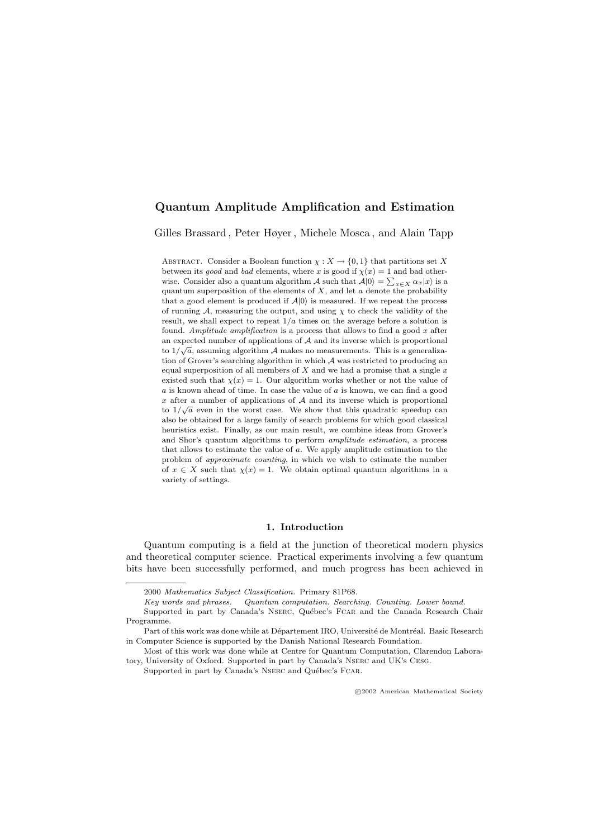# Quantum Amplitude Amplification and Estimation

Gilles Brassard , Peter Høyer , Michele Mosca , and Alain Tapp

ABSTRACT. Consider a Boolean function  $\chi: X \to \{0, 1\}$  that partitions set X between its good and bad elements, where x is good if  $\chi(x) = 1$  and bad otherwise. Consider also a quantum algorithm A such that  $A|0\rangle = \sum_{x \in X} \alpha_x |x\rangle$  is a quantum superposition of the elements of  $X$ , and let  $\alpha$  denote the probability that a good element is produced if  $A|0\rangle$  is measured. If we repeat the process of running  $A$ , measuring the output, and using  $\chi$  to check the validity of the result, we shall expect to repeat  $1/a$  times on the average before a solution is found. Amplitude amplification is a process that allows to find a good  $x$  after an expected number of applications of  $A$  and its inverse which is proportional to  $1/\sqrt{a}$ , assuming algorithm A makes no measurements. This is a generalization of Grover's searching algorithm in which A was restricted to producing an equal superposition of all members of  $X$  and we had a promise that a single  $x$ existed such that  $\chi(x) = 1$ . Our algorithm works whether or not the value of  $a$  is known ahead of time. In case the value of  $a$  is known, we can find a good x after a number of applications of  $A$  and its inverse which is proportional to  $1/\sqrt{a}$  even in the worst case. We show that this quadratic speedup can also be obtained for a large family of search problems for which good classical heuristics exist. Finally, as our main result, we combine ideas from Grover's and Shor's quantum algorithms to perform amplitude estimation, a process that allows to estimate the value of a. We apply amplitude estimation to the problem of approximate counting, in which we wish to estimate the number of  $x \in X$  such that  $\chi(x) = 1$ . We obtain optimal quantum algorithms in a variety of settings.

#### 1. Introduction

Quantum computing is a field at the junction of theoretical modern physics and theoretical computer science. Practical experiments involving a few quantum bits have been successfully performed, and much progress has been achieved in

<sup>2000</sup> Mathematics Subject Classification. Primary 81P68.

Key words and phrases. Quantum computation. Searching. Counting. Lower bound.

Supported in part by Canada's NSERC, Québec's FCAR and the Canada Research Chair Programme.

Part of this work was done while at Département IRO, Université de Montréal. Basic Research in Computer Science is supported by the Danish National Research Foundation.

Most of this work was done while at Centre for Quantum Computation, Clarendon Laboratory, University of Oxford. Supported in part by Canada's Nserc and UK's Cesg.

Supported in part by Canada's NSERC and Québec's FCAR.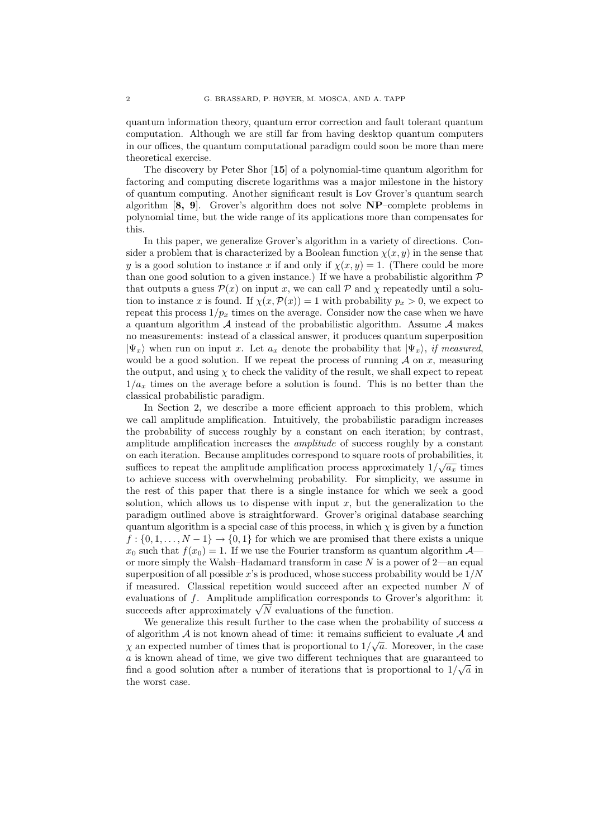quantum information theory, quantum error correction and fault tolerant quantum computation. Although we are still far from having desktop quantum computers in our offices, the quantum computational paradigm could soon be more than mere theoretical exercise.

The discovery by Peter Shor [15] of a polynomial-time quantum algorithm for factoring and computing discrete logarithms was a major milestone in the history of quantum computing. Another significant result is Lov Grover's quantum search algorithm [8, 9]. Grover's algorithm does not solve NP–complete problems in polynomial time, but the wide range of its applications more than compensates for this.

In this paper, we generalize Grover's algorithm in a variety of directions. Consider a problem that is characterized by a Boolean function  $\chi(x, y)$  in the sense that y is a good solution to instance x if and only if  $\chi(x, y) = 1$ . (There could be more than one good solution to a given instance.) If we have a probabilistic algorithm  $\mathcal P$ that outputs a guess  $\mathcal{P}(x)$  on input x, we can call  $\mathcal P$  and  $\chi$  repeatedly until a solution to instance x is found. If  $\chi(x,\mathcal{P}(x)) = 1$  with probability  $p_x > 0$ , we expect to repeat this process  $1/p_x$  times on the average. Consider now the case when we have a quantum algorithm  $A$  instead of the probabilistic algorithm. Assume  $A$  makes no measurements: instead of a classical answer, it produces quantum superposition  $|\Psi_x\rangle$  when run on input x. Let  $a_x$  denote the probability that  $|\Psi_x\rangle$ , if measured, would be a good solution. If we repeat the process of running  $A$  on  $x$ , measuring the output, and using  $\chi$  to check the validity of the result, we shall expect to repeat  $1/a_x$  times on the average before a solution is found. This is no better than the classical probabilistic paradigm.

In Section 2, we describe a more efficient approach to this problem, which we call amplitude amplification. Intuitively, the probabilistic paradigm increases the probability of success roughly by a constant on each iteration; by contrast, amplitude amplification increases the amplitude of success roughly by a constant on each iteration. Because amplitudes correspond to square roots of probabilities, it √ suffices to repeat the amplitude amplification process approximately  $1/\sqrt{a_x}$  times to achieve success with overwhelming probability. For simplicity, we assume in the rest of this paper that there is a single instance for which we seek a good solution, which allows us to dispense with input  $x$ , but the generalization to the paradigm outlined above is straightforward. Grover's original database searching quantum algorithm is a special case of this process, in which  $\chi$  is given by a function  $f: \{0, 1, \ldots, N-1\} \rightarrow \{0, 1\}$  for which we are promised that there exists a unique  $x_0$  such that  $f(x_0) = 1$ . If we use the Fourier transform as quantum algorithm  $\mathcal{A}$ or more simply the Walsh–Hadamard transform in case  $N$  is a power of 2—an equal superposition of all possible  $x$ 's is produced, whose success probability would be  $1/N$ if measured. Classical repetition would succeed after an expected number N of evaluations of f. Amplitude amplification corresponds to Grover's algorithm: it evaluations of f. Amplitude amplification corresponds to G<br>succeeds after approximately  $\sqrt{N}$  evaluations of the function.

We generalize this result further to the case when the probability of success  $a$ of algorithm  $A$  is not known ahead of time: it remains sufficient to evaluate  $A$  and  $\chi$  an expected number of times that is proportional to  $1/\sqrt{a}$ . Moreover, in the case  $a$  is known ahead of time, we give two different techniques that are guaranteed to find a good solution after a number of iterations that is proportional to  $1/\sqrt{a}$  in the worst case.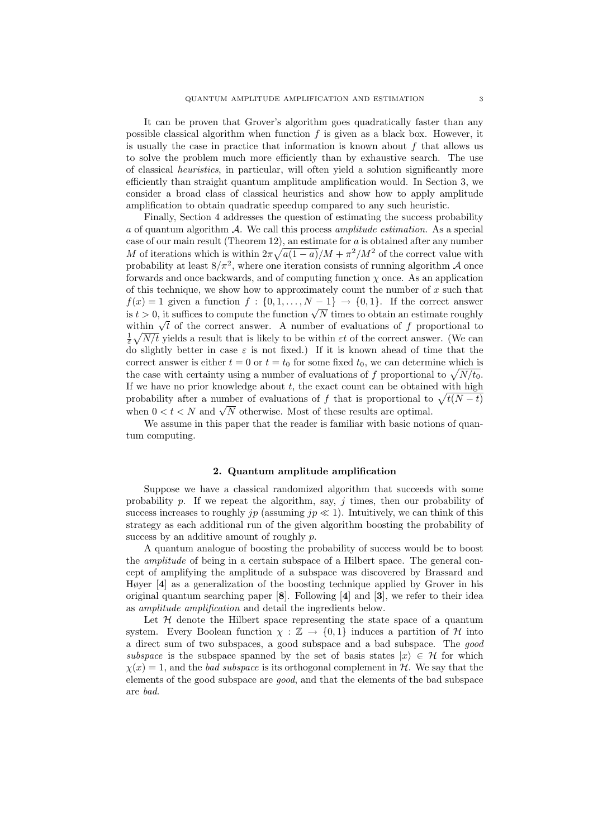It can be proven that Grover's algorithm goes quadratically faster than any possible classical algorithm when function f is given as a black box. However, it is usually the case in practice that information is known about  $f$  that allows us to solve the problem much more efficiently than by exhaustive search. The use of classical heuristics, in particular, will often yield a solution significantly more efficiently than straight quantum amplitude amplification would. In Section 3, we consider a broad class of classical heuristics and show how to apply amplitude amplification to obtain quadratic speedup compared to any such heuristic.

Finally, Section 4 addresses the question of estimating the success probability a of quantum algorithm A. We call this process amplitude estimation. As a special case of our main result (Theorem 12), an estimate for a is obtained after any number M of iterations which is within  $2\pi\sqrt{a(1-a)}/M + \pi^2/M^2$  of the correct value with probability at least  $8/\pi^2$ , where one iteration consists of running algorithm A once forwards and once backwards, and of computing function  $\chi$  once. As an application of this technique, we show how to approximately count the number of  $x$  such that  $f(x) = 1$  given a function  $f : \{0, 1, ..., N - 1\} \rightarrow \{0, 1\}$ . If the correct answer  $f(x) = 1$  given a function  $f : \{0, 1, ..., N - 1\} \to \{0, 1\}$ . If the correct answer<br>is  $t > 0$ , it suffices to compute the function  $\sqrt{N}$  times to obtain an estimate roughly is  $t > 0$ , it suffices to compute the function  $\sqrt{N}$  times to obtain an estimate roughly within  $\sqrt{t}$  of the correct answer. A number of evaluations of f proportional to  $\frac{1}{\varepsilon}\sqrt{N/t}$  yields a result that is likely to be within  $\varepsilon t$  of the correct answer. (We can do slightly better in case  $\varepsilon$  is not fixed.) If it is known ahead of time that the correct answer is either  $t = 0$  or  $t = t_0$  for some fixed  $t_0$ , we can determine which is the case with certainty using a number of evaluations of f proportional to  $\sqrt{N/t_0}$ . If we have no prior knowledge about  $t$ , the exact count can be obtained with high probability after a number of evaluations of f that is proportional to  $\sqrt{t(N-t)}$ probability after a number of evaluations of f that is proportional to when  $0 < t < N$  and  $\sqrt{N}$  otherwise. Most of these results are optimal.

We assume in this paper that the reader is familiar with basic notions of quantum computing.

#### 2. Quantum amplitude amplification

Suppose we have a classical randomized algorithm that succeeds with some probability  $p$ . If we repeat the algorithm, say,  $j$  times, then our probability of success increases to roughly jp (assuming jp  $\ll 1$ ). Intuitively, we can think of this strategy as each additional run of the given algorithm boosting the probability of success by an additive amount of roughly p.

A quantum analogue of boosting the probability of success would be to boost the amplitude of being in a certain subspace of a Hilbert space. The general concept of amplifying the amplitude of a subspace was discovered by Brassard and Høyer [4] as a generalization of the boosting technique applied by Grover in his original quantum searching paper [8]. Following [4] and [3], we refer to their idea as amplitude amplification and detail the ingredients below.

Let  $H$  denote the Hilbert space representing the state space of a quantum system. Every Boolean function  $\chi : \mathbb{Z} \to \{0,1\}$  induces a partition of H into a direct sum of two subspaces, a good subspace and a bad subspace. The good subspace is the subspace spanned by the set of basis states  $|x\rangle \in \mathcal{H}$  for which  $\chi(x) = 1$ , and the *bad subspace* is its orthogonal complement in H. We say that the elements of the good subspace are good, and that the elements of the bad subspace are bad.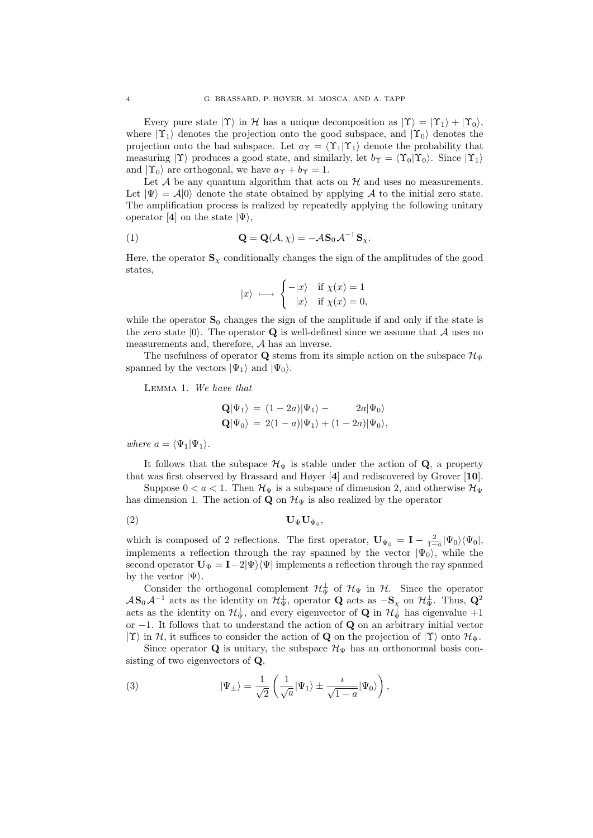Every pure state  $|\Upsilon\rangle$  in H has a unique decomposition as  $|\Upsilon\rangle = |\Upsilon_1\rangle + |\Upsilon_0\rangle$ , where  $|\Upsilon_1\rangle$  denotes the projection onto the good subspace, and  $|\Upsilon_0\rangle$  denotes the projection onto the bad subspace. Let  $a_{\Upsilon} = \langle \Upsilon_1 | \Upsilon_1 \rangle$  denote the probability that measuring  $|\Upsilon\rangle$  produces a good state, and similarly, let  $b_{\Upsilon} = \langle \Upsilon_0 | \Upsilon_0 \rangle$ . Since  $|\Upsilon_1\rangle$ and  $|\Upsilon_0\rangle$  are orthogonal, we have  $a_{\Upsilon} + b_{\Upsilon} = 1$ .

Let  $A$  be any quantum algorithm that acts on  $H$  and uses no measurements. Let  $|\Psi\rangle = A|0\rangle$  denote the state obtained by applying A to the initial zero state. The amplification process is realized by repeatedly applying the following unitary operator [4] on the state  $|\Psi\rangle$ ,

(1) 
$$
\mathbf{Q} = \mathbf{Q}(\mathcal{A}, \chi) = -\mathcal{A}\mathbf{S}_0 \mathcal{A}^{-1} \mathbf{S}_{\chi}.
$$

Here, the operator  $\mathbf{S}_{\chi}$  conditionally changes the sign of the amplitudes of the good states,

$$
|x\rangle \longmapsto \begin{cases} -|x\rangle & \text{if } \chi(x) = 1 \\ |x\rangle & \text{if } \chi(x) = 0, \end{cases}
$$

while the operator  $S_0$  changes the sign of the amplitude if and only if the state is the zero state  $|0\rangle$ . The operator **Q** is well-defined since we assume that A uses no measurements and, therefore, A has an inverse.

The usefulness of operator Q stems from its simple action on the subspace  $\mathcal{H}_{\Psi}$ spanned by the vectors  $|\Psi_1\rangle$  and  $|\Psi_0\rangle$ .

Lemma 1. We have that

$$
\begin{aligned} \mathbf{Q}|\Psi_1\rangle &= (1-2a)|\Psi_1\rangle - 2a|\Psi_0\rangle \\ \mathbf{Q}|\Psi_0\rangle &= 2(1-a)|\Psi_1\rangle + (1-2a)|\Psi_0\rangle, \end{aligned}
$$

where  $a = \langle \Psi_1 | \Psi_1 \rangle$ .

It follows that the subspace  $\mathcal{H}_{\Psi}$  is stable under the action of Q, a property that was first observed by Brassard and Høyer [4] and rediscovered by Grover [10].

Suppose  $0 < a < 1$ . Then  $\mathcal{H}_{\Psi}$  is a subspace of dimension 2, and otherwise  $\mathcal{H}_{\Psi}$ has dimension 1. The action of **Q** on  $\mathcal{H}_{\Psi}$  is also realized by the operator

$$
(2) \t\t\t\t\tU\PsiU\Psi0,
$$

which is composed of 2 reflections. The first operator,  $\mathbf{U}_{\Psi_0} = \mathbf{I} - \frac{2}{1-a} |\Psi_0\rangle \langle \Psi_0|$ , implements a reflection through the ray spanned by the vector  $|\Psi_0\rangle$ , while the second operator  $U_{\Psi} = I - 2|\Psi\rangle\langle\Psi|$  implements a reflection through the ray spanned by the vector  $|\Psi\rangle$ .

Consider the orthogonal complement  $\mathcal{H}_{\Psi}^{\perp}$  of  $\mathcal{H}_{\Psi}$  in  $\mathcal{H}$ . Since the operator  $\mathcal{A}\mathbf{S}_0\mathcal{A}^{-1}$  acts as the identity on  $\mathcal{H}_{\Psi}^{\perp}$ , operator **Q** acts as  $-\mathbf{S}_{\chi}$  on  $\mathcal{H}_{\Psi}^{\perp}$ . Thus,  $\mathbf{Q}^2$ acts as the identity on  $\mathcal{H}_{\Psi}^{\perp}$ , and every eigenvector of **Q** in  $\mathcal{H}_{\Psi}^{\perp}$  has eigenvalue +1 or  $-1$ . It follows that to understand the action of Q on an arbitrary initial vector  $|\Upsilon\rangle$  in H, it suffices to consider the action of Q on the projection of  $|\Upsilon\rangle$  onto  $\mathcal{H}_{\Psi}$ .

Since operator Q is unitary, the subspace  $\mathcal{H}_{\Psi}$  has an orthonormal basis consisting of two eigenvectors of Q,

(3) 
$$
|\Psi_{\pm}\rangle = \frac{1}{\sqrt{2}} \left( \frac{1}{\sqrt{a}} |\Psi_1\rangle \pm \frac{i}{\sqrt{1-a}} |\Psi_0\rangle \right),
$$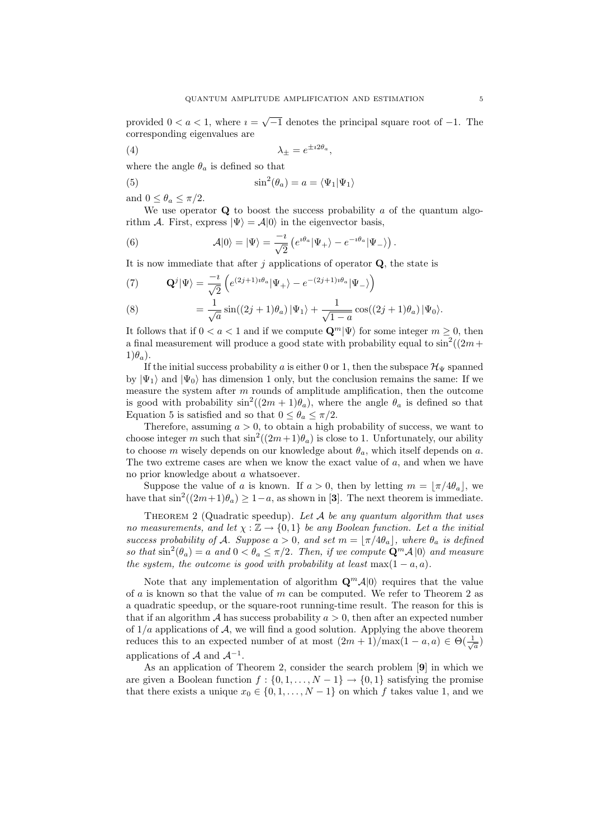provided  $0 < a < 1$ , where  $i = \sqrt{-1}$  denotes the principal square root of  $-1$ . The corresponding eigenvalues are

$$
\lambda_{\pm} = e^{\pm i2\theta_a},
$$

where the angle  $\theta_a$  is defined so that

(5) 
$$
\sin^2(\theta_a) = a = \langle \Psi_1 | \Psi_1 \rangle
$$

and  $0 \leq \theta_a \leq \pi/2$ .

We use operator  $Q$  to boost the success probability  $a$  of the quantum algorithm A. First, express  $|\Psi\rangle = A|0\rangle$  in the eigenvector basis,

(6) 
$$
\mathcal{A}|0\rangle = |\Psi\rangle = \frac{-i}{\sqrt{2}} \left( e^{i\theta_a} |\Psi_+\rangle - e^{-i\theta_a} |\Psi_-\rangle \right).
$$

It is now immediate that after j applications of operator  $Q$ , the state is

(7) 
$$
\mathbf{Q}^{j}|\Psi\rangle = \frac{-i}{\sqrt{2}} \left( e^{(2j+1)i\theta_a} |\Psi_+\rangle - e^{-(2j+1)i\theta_a} |\Psi_-\rangle \right)
$$

(8) 
$$
= \frac{1}{\sqrt{a}} \sin((2j+1)\theta_a) |\Psi_1\rangle + \frac{1}{\sqrt{1-a}} \cos((2j+1)\theta_a) |\Psi_0\rangle.
$$

It follows that if  $0 < a < 1$  and if we compute  $\mathbf{Q}^m | \Psi \rangle$  for some integer  $m \geq 0$ , then a final measurement will produce a good state with probability equal to  $\sin^2((2m +$  $1)\theta_a$ ).

If the initial success probability a is either 0 or 1, then the subspace  $\mathcal{H}_{\Psi}$  spanned by  $|\Psi_1\rangle$  and  $|\Psi_0\rangle$  has dimension 1 only, but the conclusion remains the same: If we measure the system after  $m$  rounds of amplitude amplification, then the outcome is good with probability  $\sin^2((2m+1)\theta_a)$ , where the angle  $\theta_a$  is defined so that Equation 5 is satisfied and so that  $0 \le \theta_a \le \pi/2$ .

Therefore, assuming  $a > 0$ , to obtain a high probability of success, we want to choose integer m such that  $\sin^2((2m+1)\theta_a)$  is close to 1. Unfortunately, our ability to choose m wisely depends on our knowledge about  $\theta_a$ , which itself depends on a. The two extreme cases are when we know the exact value of  $a$ , and when we have no prior knowledge about a whatsoever.

Suppose the value of a is known. If  $a > 0$ , then by letting  $m = \lfloor \pi/4\theta_a \rfloor$ , we have that  $\sin^2((2m+1)\theta_a) \geq 1-a$ , as shown in [3]. The next theorem is immediate.

THEOREM 2 (Quadratic speedup). Let  $A$  be any quantum algorithm that uses no measurements, and let  $\chi : \mathbb{Z} \to \{0,1\}$  be any Boolean function. Let a the initial success probability of A. Suppose  $a > 0$ , and set  $m = \lfloor \pi/4\theta_a \rfloor$ , where  $\theta_a$  is defined so that  $\sin^2(\theta_a) = a$  and  $0 < \theta_a \le \pi/2$ . Then, if we compute  $\mathbf{Q}^m \mathcal{A} |0\rangle$  and measure the system, the outcome is good with probability at least max $(1 - a, a)$ .

Note that any implementation of algorithm  $\mathbf{Q}^m \mathcal{A}|0\rangle$  requires that the value of  $a$  is known so that the value of  $m$  can be computed. We refer to Theorem 2 as a quadratic speedup, or the square-root running-time result. The reason for this is that if an algorithm A has success probability  $a > 0$ , then after an expected number of  $1/a$  applications of  $\mathcal{A}$ , we will find a good solution. Applying the above theorem reduces this to an expected number of at most  $(2m+1)/\max(1-a,a) \in \Theta(\frac{1}{\sqrt{a}})$ applications of  $A$  and  $A^{-1}$ .

As an application of Theorem 2, consider the search problem [9] in which we are given a Boolean function  $f : \{0, 1, \ldots, N-1\} \rightarrow \{0, 1\}$  satisfying the promise that there exists a unique  $x_0 \in \{0, 1, \ldots, N-1\}$  on which f takes value 1, and we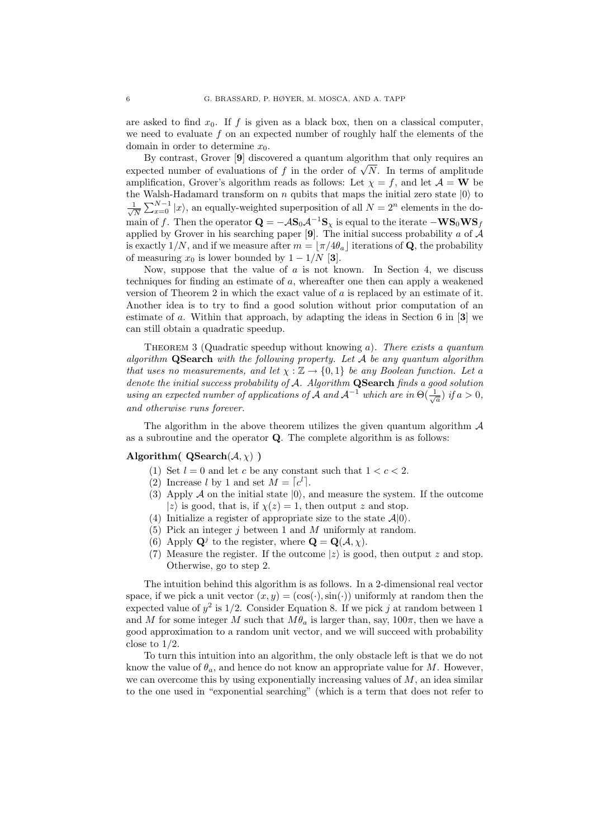are asked to find  $x_0$ . If f is given as a black box, then on a classical computer, we need to evaluate f on an expected number of roughly half the elements of the domain in order to determine  $x_0$ .

By contrast, Grover [9] discovered a quantum algorithm that only requires an By contrast, Grover [9] discovered a quantum algorithm that only requires an expected number of evaluations of f in the order of  $\sqrt{N}$ . In terms of amplitude amplification, Grover's algorithm reads as follows: Let  $\chi = f$ , and let  $\mathcal{A} = \mathbf{W}$  be the Walsh-Hadamard transform on  $n$  qubits that maps the initial zero state  $|0\rangle$  to √ 1  $\frac{1}{N}\sum_{x=0}^{N-1}|x\rangle$ , an equally-weighted superposition of all  $N=2^n$  elements in the domain of f. Then the operator  $\mathbf{Q} = -A\mathbf{S}_0A^{-1}\mathbf{S}_\chi$  is equal to the iterate  $-\mathbf{WS}_0\mathbf{WS}_f$ applied by Grover in his searching paper [9]. The initial success probability a of  $\mathcal{A}$ is exactly 1/N, and if we measure after  $m = |\pi/4\theta_a|$  iterations of Q, the probability of measuring  $x_0$  is lower bounded by  $1 - 1/N$  [3].

Now, suppose that the value of  $\alpha$  is not known. In Section 4, we discuss techniques for finding an estimate of a, whereafter one then can apply a weakened version of Theorem 2 in which the exact value of a is replaced by an estimate of it. Another idea is to try to find a good solution without prior computation of an estimate of a. Within that approach, by adapting the ideas in Section 6 in [3] we can still obtain a quadratic speedup.

THEOREM 3 (Quadratic speedup without knowing  $a$ ). There exists a quantum algorithm  $QSearch$  with the following property. Let  $A$  be any quantum algorithm that uses no measurements, and let  $\chi : \mathbb{Z} \to \{0,1\}$  be any Boolean function. Let a denote the initial success probability of A. Algorithm QSearch finds a good solution using an expected number of applications of  $\tilde{A}$  and  $A^{-1}$  which are in  $\Theta(\frac{1}{\sqrt{a}})$  if  $a > 0$ , and otherwise runs forever.

The algorithm in the above theorem utilizes the given quantum algorithm  $\mathcal A$ as a subroutine and the operator Q. The complete algorithm is as follows:

### Algorithm(  $\mathbf{QSearch}(\mathcal{A}, \chi)$ )

- (1) Set  $l = 0$  and let c be any constant such that  $1 < c < 2$ .
- (2) Increase l by 1 and set  $\dot{M} = [c^l]$ .
- (3) Apply A on the initial state  $|0\rangle$ , and measure the system. If the outcome |z) is good, that is, if  $\chi(z) = 1$ , then output z and stop.
- (4) Initialize a register of appropriate size to the state  $A|0\rangle$ .
- (5) Pick an integer j between 1 and M uniformly at random.
- (6) Apply  $\mathbf{Q}^j$  to the register, where  $\mathbf{Q} = \mathbf{Q}(\mathcal{A}, \chi)$ .
- (7) Measure the register. If the outcome  $|z\rangle$  is good, then output z and stop. Otherwise, go to step 2.

The intuition behind this algorithm is as follows. In a 2-dimensional real vector space, if we pick a unit vector  $(x, y) = (\cos(\cdot), \sin(\cdot))$  uniformly at random then the expected value of  $y^2$  is  $1/2$ . Consider Equation 8. If we pick j at random between 1 and M for some integer M such that  $M\theta_a$  is larger than, say,  $100\pi$ , then we have a good approximation to a random unit vector, and we will succeed with probability close to  $1/2$ .

To turn this intuition into an algorithm, the only obstacle left is that we do not know the value of  $\theta_a$ , and hence do not know an appropriate value for M. However, we can overcome this by using exponentially increasing values of  $M$ , an idea similar to the one used in "exponential searching" (which is a term that does not refer to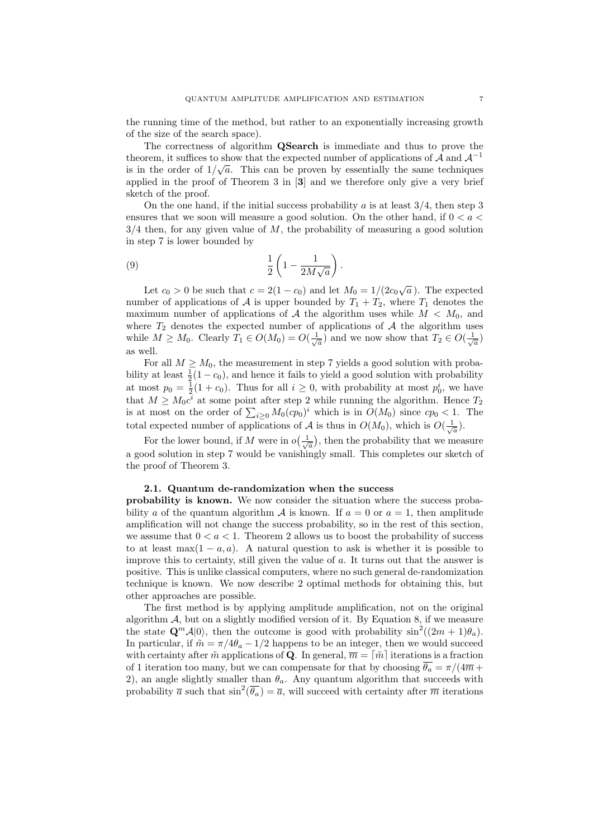the running time of the method, but rather to an exponentially increasing growth of the size of the search space).

The correctness of algorithm QSearch is immediate and thus to prove the theorem, it suffices to show that the expected number of applications of  $\mathcal A$  and  $\mathcal A^{-1}$ is in the order of  $1/\sqrt{a}$ . This can be proven by essentially the same techniques applied in the proof of Theorem 3 in [3] and we therefore only give a very brief sketch of the proof.

On the one hand, if the initial success probability a is at least  $3/4$ , then step 3 ensures that we soon will measure a good solution. On the other hand, if  $0 < a <$  $3/4$  then, for any given value of M, the probability of measuring a good solution in step 7 is lower bounded by

(9) 
$$
\frac{1}{2}\left(1-\frac{1}{2M\sqrt{a}}\right).
$$

Let  $c_0 > 0$  be such that  $c = 2(1 - c_0)$  and let  $M_0 = 1/(2c_0\sqrt{1-c_0})$  $\overline{a}$ ). The expected number of applications of A is upper bounded by  $T_1 + T_2$ , where  $T_1$  denotes the maximum number of applications of A the algorithm uses while  $M < M_0$ , and where  $T_2$  denotes the expected number of applications of  $A$  the algorithm uses while  $M \geq M_0$ . Clearly  $T_1 \in O(M_0) = O(\frac{1}{\sqrt{a}})$  and we now show that  $T_2 \in O(\frac{1}{\sqrt{a}})$ as well.

For all  $M \geq M_0$ , the measurement in step 7 yields a good solution with probability at least  $\frac{1}{2}(1-c_0)$ , and hence it fails to yield a good solution with probability at most  $p_0 = \frac{1}{2}(1 + c_0)$ . Thus for all  $i \geq 0$ , with probability at most  $p_0^i$ , we have that  $M \geq M_0 c^{\tilde{i}}$  at some point after step 2 while running the algorithm. Hence  $T_2$ is at most on the order of  $\sum_{i\geq 0} M_0 (cp_0)^i$  which is in  $O(M_0)$  since  $cp_0 < 1$ . The total expected number of applications of A is thus in  $O(M_0)$ , which is  $O(\frac{1}{\sqrt{a}})$ .

For the lower bound, if M were in  $o(\frac{1}{\sqrt{a}})$ , then the probability that we measure a good solution in step 7 would be vanishingly small. This completes our sketch of the proof of Theorem 3.

### 2.1. Quantum de-randomization when the success

probability is known. We now consider the situation where the success probability a of the quantum algorithm  $\mathcal A$  is known. If  $a = 0$  or  $a = 1$ , then amplitude amplification will not change the success probability, so in the rest of this section, we assume that  $0 < a < 1$ . Theorem 2 allows us to boost the probability of success to at least max $(1 - a, a)$ . A natural question to ask is whether it is possible to improve this to certainty, still given the value of a. It turns out that the answer is positive. This is unlike classical computers, where no such general de-randomization technique is known. We now describe 2 optimal methods for obtaining this, but other approaches are possible.

The first method is by applying amplitude amplification, not on the original algorithm  $A$ , but on a slightly modified version of it. By Equation 8, if we measure the state  $\mathbf{Q}^m \mathcal{A}|0\rangle$ , then the outcome is good with probability  $\sin^2((2m+1)\theta_a)$ . In particular, if  $\tilde{m} = \pi/4\theta_a - 1/2$  happens to be an integer, then we would succeed with certainty after  $\tilde{m}$  applications of Q. In general,  $\overline{m} = |\tilde{m}|$  iterations is a fraction of 1 iteration too many, but we can compensate for that by choosing  $\overline{\theta_a} = \pi/(4\overline{m}+\overline{m})$ 2), an angle slightly smaller than  $\theta_a$ . Any quantum algorithm that succeeds with probability  $\bar{a}$  such that  $\sin^2(\bar{\theta}_a) = \bar{a}$ , will succeed with certainty after  $\bar{m}$  iterations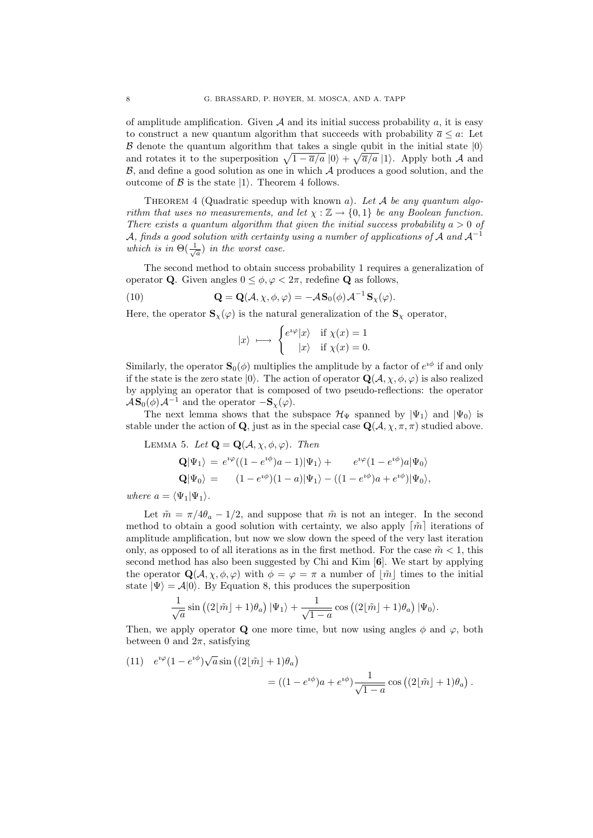of amplitude amplification. Given  $A$  and its initial success probability  $a$ , it is easy to construct a new quantum algorithm that succeeds with probability  $\overline{a} \leq a$ : Let  $\beta$  denote the quantum algorithm that takes a single qubit in the initial state  $|0\rangle$ and rotates it to the superposition  $\sqrt{1 - \overline{a}/a}$  (0) +  $\sqrt{\overline{a}/a}$  (1). Apply both A and  $\beta$ , and define a good solution as one in which  $\mathcal A$  produces a good solution, and the outcome of  $\beta$  is the state  $|1\rangle$ . Theorem 4 follows.

THEOREM 4 (Quadratic speedup with known a). Let  $A$  be any quantum algorithm that uses no measurements, and let  $\chi : \mathbb{Z} \to \{0,1\}$  be any Boolean function. There exists a quantum algorithm that given the initial success probability  $a > 0$  of A, finds a good solution with certainty using a number of applications of A and  $A^{-1}$ which is in  $\Theta(\frac{1}{\sqrt{a}})$  in the worst case.

The second method to obtain success probability 1 requires a generalization of operator **Q**. Given angles  $0 \leq \phi, \varphi < 2\pi$ , redefine **Q** as follows,

(10) 
$$
\mathbf{Q} = \mathbf{Q}(\mathcal{A}, \chi, \phi, \varphi) = -\mathcal{A} \mathbf{S}_0(\phi) \mathcal{A}^{-1} \mathbf{S}_\chi(\varphi).
$$

Here, the operator  $\mathbf{S}_{\chi}(\varphi)$  is the natural generalization of the  $\mathbf{S}_{\chi}$  operator,

$$
|x\rangle \longmapsto \begin{cases} e^{i\varphi}|x\rangle & \text{if } \chi(x) = 1\\ |x\rangle & \text{if } \chi(x) = 0. \end{cases}
$$

Similarly, the operator  $\mathbf{S}_0(\phi)$  multiplies the amplitude by a factor of  $e^{i\phi}$  if and only if the state is the zero state  $|0\rangle$ . The action of operator  $\mathbf{Q}(\mathcal{A}, \chi, \phi, \varphi)$  is also realized by applying an operator that is composed of two pseudo-reflections: the operator  $\mathcal{A}S_0(\phi)\mathcal{A}^{-1}$  and the operator  $-S_\chi(\varphi)$ .

The next lemma shows that the subspace  $\mathcal{H}_{\Psi}$  spanned by  $|\Psi_1\rangle$  and  $|\Psi_0\rangle$  is stable under the action of Q, just as in the special case  $Q(\mathcal{A}, \chi, \pi, \pi)$  studied above.

LEMMA 5. Let 
$$
\mathbf{Q} = \mathbf{Q}(\mathcal{A}, \chi, \phi, \varphi)
$$
. Then  
\n
$$
\mathbf{Q}|\Psi_1\rangle = e^{i\varphi}((1 - e^{i\phi})a - 1)|\Psi_1\rangle + e^{i\varphi}(1 - e^{i\phi})a|\Psi_0\rangle
$$
\n
$$
\mathbf{Q}|\Psi_0\rangle = (1 - e^{i\phi})(1 - a)|\Psi_1\rangle - ((1 - e^{i\phi})a + e^{i\phi})|\Psi_0\rangle,
$$

where  $a = \langle \Psi_1 | \Psi_1 \rangle$ .

Let  $\tilde{m} = \pi/4\theta_a - 1/2$ , and suppose that  $\tilde{m}$  is not an integer. In the second method to obtain a good solution with certainty, we also apply  $\lceil \tilde{m} \rceil$  iterations of amplitude amplification, but now we slow down the speed of the very last iteration only, as opposed to of all iterations as in the first method. For the case  $\tilde{m} < 1$ , this second method has also been suggested by Chi and Kim [6]. We start by applying the operator  $\mathbf{Q}(\mathcal{A}, \chi, \phi, \varphi)$  with  $\phi = \varphi = \pi$  a number of  $|\tilde{m}|$  times to the initial state  $|\Psi\rangle = A|0\rangle$ . By Equation 8, this produces the superposition

$$
\frac{1}{\sqrt{a}}\sin\left((2\lfloor \tilde{m} \rfloor + 1)\theta_a\right)|\Psi_1\rangle + \frac{1}{\sqrt{1-a}}\cos\left((2\lfloor \tilde{m} \rfloor + 1)\theta_a\right)|\Psi_0\rangle.
$$

Then, we apply operator Q one more time, but now using angles  $\phi$  and  $\varphi$ , both between 0 and  $2\pi$ , satisfying

(11) 
$$
e^{i\varphi}(1 - e^{i\phi})\sqrt{a}\sin((2\lfloor \tilde{m} \rfloor + 1)\theta_a)
$$

$$
= ((1 - e^{i\phi})a + e^{i\phi})\frac{1}{\sqrt{1 - a}}\cos((2\lfloor \tilde{m} \rfloor + 1)\theta_a).
$$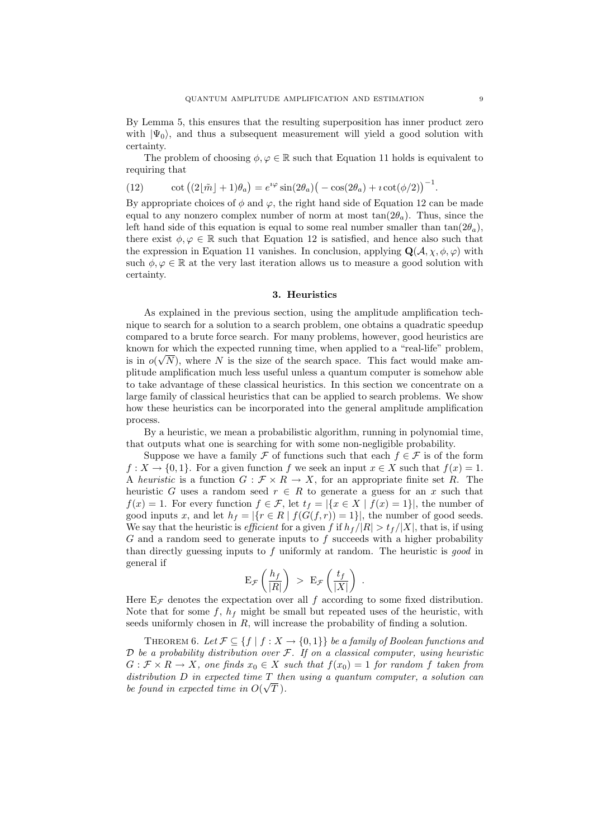By Lemma 5, this ensures that the resulting superposition has inner product zero with  $|\Psi_0\rangle$ , and thus a subsequent measurement will yield a good solution with certainty.

The problem of choosing  $\phi, \varphi \in \mathbb{R}$  such that Equation 11 holds is equivalent to requiring that

(12)  $\cot ((2[\tilde{m}] + 1)\theta_a) = e^{i\varphi} \sin(2\theta_a) (-\cos(2\theta_a) + i \cot(\phi/2))^{-1}.$ 

By appropriate choices of  $\phi$  and  $\varphi$ , the right hand side of Equation 12 can be made equal to any nonzero complex number of norm at most  $tan(2\theta_a)$ . Thus, since the left hand side of this equation is equal to some real number smaller than  $tan(2\theta_a)$ , there exist  $\phi, \varphi \in \mathbb{R}$  such that Equation 12 is satisfied, and hence also such that the expression in Equation 11 vanishes. In conclusion, applying  $\mathbf{Q}(\mathcal{A}, \chi, \phi, \varphi)$  with such  $\phi, \varphi \in \mathbb{R}$  at the very last iteration allows us to measure a good solution with certainty.

#### 3. Heuristics

As explained in the previous section, using the amplitude amplification technique to search for a solution to a search problem, one obtains a quadratic speedup compared to a brute force search. For many problems, however, good heuristics are known for which the expected running time, when applied to a "real-life" problem, is in  $o(\sqrt{N})$ , where N is the size of the search space. This fact would make amplitude amplification much less useful unless a quantum computer is somehow able to take advantage of these classical heuristics. In this section we concentrate on a large family of classical heuristics that can be applied to search problems. We show how these heuristics can be incorporated into the general amplitude amplification process.

By a heuristic, we mean a probabilistic algorithm, running in polynomial time, that outputs what one is searching for with some non-negligible probability.

Suppose we have a family  $\mathcal F$  of functions such that each  $f \in \mathcal F$  is of the form  $f: X \to \{0, 1\}$ . For a given function f we seek an input  $x \in X$  such that  $f(x) = 1$ . A heuristic is a function  $G : \mathcal{F} \times R \to X$ , for an appropriate finite set R. The heuristic G uses a random seed  $r \in R$  to generate a guess for an x such that  $f(x) = 1$ . For every function  $f \in \mathcal{F}$ , let  $t_f = |\{x \in X \mid f(x) = 1\}|$ , the number of good inputs x, and let  $h_f = |\{r \in R \mid f(G(f, r)) = 1\}|$ , the number of good seeds. We say that the heuristic is *efficient* for a given f if  $h_f/|R| > t_f/|X|$ , that is, if using  $G$  and a random seed to generate inputs to  $f$  succeeds with a higher probability than directly guessing inputs to  $f$  uniformly at random. The heuristic is good in general if

$$
\mathbf{E}_{\mathcal{F}}\left(\frac{h_f}{|R|}\right) > \mathbf{E}_{\mathcal{F}}\left(\frac{t_f}{|X|}\right) .
$$

Here  $E_{\mathcal{F}}$  denotes the expectation over all f according to some fixed distribution. Note that for some  $f, h_f$  might be small but repeated uses of the heuristic, with seeds uniformly chosen in  $R$ , will increase the probability of finding a solution.

THEOREM 6. Let  $\mathcal{F} \subseteq \{f \mid f : X \to \{0,1\}\}\$ be a family of Boolean functions and  $D$  be a probability distribution over  $\mathcal F$ . If on a classical computer, using heuristic  $G: \mathcal{F} \times R \to X$ , one finds  $x_0 \in X$  such that  $f(x_0) = 1$  for random f taken from  $distribution\ D\ in\ expected\ time\ T\_then\ using\ a\ quantum\ computer,\ a\ solution\ can$ be found in expected time in  $O(\sqrt{T})$ .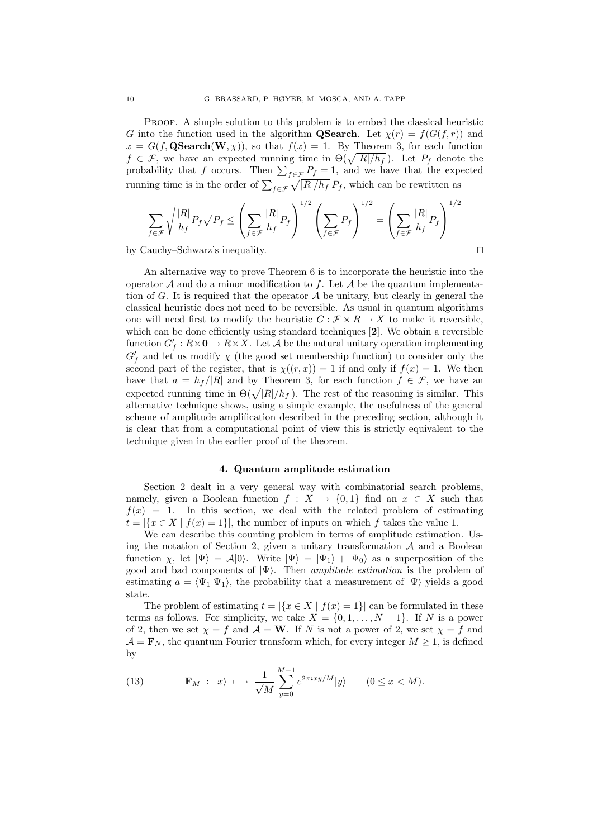Proof. A simple solution to this problem is to embed the classical heuristic G into the function used in the algorithm **QSearch**. Let  $\chi(r) = f(G(f,r))$  and  $x = G(f, \mathbf{QSearch}(W, \chi))$ , so that  $f(x) = 1$ . By Theorem 3, for each function  $f \in \mathcal{F}$ , we have an expected running time in  $\Theta(\sqrt{|R|/h_f})$ . Let  $P_f$  denote the probability that f occurs. Then  $\sum_{f \in \mathcal{F}} P_f = 1$ , and we have that the expected running time is in the order of  $\sum_{f \in \mathcal{F}} \sqrt{|R|/h_f} P_f$ , which can be rewritten as

$$
\sum_{f \in \mathcal{F}} \sqrt{\frac{|R|}{h_f}} P_f \sqrt{P_f} \le \left( \sum_{f \in \mathcal{F}} \frac{|R|}{h_f} P_f \right)^{1/2} \left( \sum_{f \in \mathcal{F}} P_f \right)^{1/2} = \left( \sum_{f \in \mathcal{F}} \frac{|R|}{h_f} P_f \right)^{1/2}
$$

by Cauchy–Schwarz's inequality.

An alternative way to prove Theorem 6 is to incorporate the heuristic into the operator A and do a minor modification to f. Let A be the quantum implementation of G. It is required that the operator  $A$  be unitary, but clearly in general the classical heuristic does not need to be reversible. As usual in quantum algorithms one will need first to modify the heuristic  $G : \mathcal{F} \times R \to X$  to make it reversible, which can be done efficiently using standard techniques [2]. We obtain a reversible function  $G_f': R \times \mathbf{0} \to R \times X$ . Let  $\mathcal A$  be the natural unitary operation implementing  $G_f'$  and let us modify  $\chi$  (the good set membership function) to consider only the second part of the register, that is  $\chi((r, x)) = 1$  if and only if  $f(x) = 1$ . We then have that  $a = h_f/|R|$  and by Theorem 3, for each function  $f \in \mathcal{F}$ , we have an expected running time in  $\Theta(\sqrt{|R|/h_f})$ . The rest of the reasoning is similar. This alternative technique shows, using a simple example, the usefulness of the general scheme of amplitude amplification described in the preceding section, although it is clear that from a computational point of view this is strictly equivalent to the technique given in the earlier proof of the theorem.

### 4. Quantum amplitude estimation

Section 2 dealt in a very general way with combinatorial search problems, namely, given a Boolean function  $f: X \to \{0,1\}$  find an  $x \in X$  such that  $f(x) = 1$ . In this section, we deal with the related problem of estimating  $t = |\{x \in X \mid f(x) = 1\}|$ , the number of inputs on which f takes the value 1.

We can describe this counting problem in terms of amplitude estimation. Using the notation of Section 2, given a unitary transformation  $A$  and a Boolean function  $\chi$ , let  $|\Psi\rangle = A|0\rangle$ . Write  $|\Psi\rangle = |\Psi_1\rangle + |\Psi_0\rangle$  as a superposition of the good and bad components of  $|\Psi\rangle$ . Then *amplitude estimation* is the problem of estimating  $a = \langle \Psi_1 | \Psi_1 \rangle$ , the probability that a measurement of  $| \Psi \rangle$  yields a good state.

The problem of estimating  $t = |\{x \in X \mid f(x) = 1\}|$  can be formulated in these terms as follows. For simplicity, we take  $X = \{0, 1, \ldots, N-1\}$ . If N is a power of 2, then we set  $\chi = f$  and  $\mathcal{A} = \mathbf{W}$ . If N is not a power of 2, we set  $\chi = f$  and  $\mathcal{A} = \mathbf{F}_N$ , the quantum Fourier transform which, for every integer  $M \geq 1$ , is defined by

(13) 
$$
\mathbf{F}_M : |x\rangle \longmapsto \frac{1}{\sqrt{M}} \sum_{y=0}^{M-1} e^{2\pi i x y/M} |y\rangle \qquad (0 \le x < M).
$$

$$
\Box
$$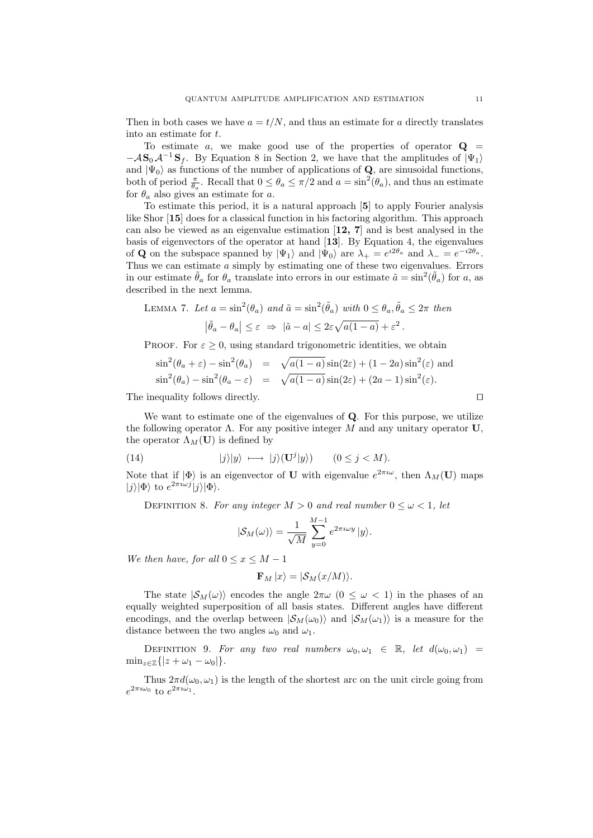Then in both cases we have  $a = t/N$ , and thus an estimate for a directly translates into an estimate for t.

To estimate a, we make good use of the properties of operator  $Q =$  $-\mathcal{A}\mathbf{S}_0\mathcal{A}^{-1}\mathbf{S}_f$ . By Equation 8 in Section 2, we have that the amplitudes of  $|\Psi_1\rangle$ and  $|\Psi_0\rangle$  as functions of the number of applications of **Q**, are sinusoidal functions, both of period  $\frac{\pi}{\theta_a}$ . Recall that  $0 \le \theta_a \le \pi/2$  and  $a = \sin^2(\theta_a)$ , and thus an estimate for  $\theta_a$  also gives an estimate for a.

To estimate this period, it is a natural approach [5] to apply Fourier analysis like Shor [15] does for a classical function in his factoring algorithm. This approach can also be viewed as an eigenvalue estimation [12, 7] and is best analysed in the basis of eigenvectors of the operator at hand [13]. By Equation 4, the eigenvalues of **Q** on the subspace spanned by  $|\Psi_1\rangle$  and  $|\Psi_0\rangle$  are  $\lambda_+ = e^{i2\theta_a}$  and  $\lambda_- = e^{-i2\theta_a}$ . Thus we can estimate  $a$  simply by estimating one of these two eigenvalues. Errors in our estimate  $\tilde{\theta}_a$  for  $\theta_a$  translate into errors in our estimate  $\tilde{a} = \sin^2(\tilde{\theta}_a)$  for a, as described in the next lemma.

LEMMA 7. Let 
$$
a = \sin^2(\theta_a)
$$
 and  $\tilde{a} = \sin^2(\tilde{\theta}_a)$  with  $0 \le \theta_a$ ,  $\tilde{\theta}_a \le 2\pi$  then  

$$
|\tilde{\theta}_a - \theta_a| \le \varepsilon \Rightarrow |\tilde{a} - a| \le 2\varepsilon\sqrt{a(1 - a)} + \varepsilon^2.
$$

PROOF. For  $\varepsilon \geq 0$ , using standard trigonometric identities, we obtain

$$
\sin^2(\theta_a + \varepsilon) - \sin^2(\theta_a) = \sqrt{a(1-a)}\sin(2\varepsilon) + (1-2a)\sin^2(\varepsilon)
$$
 and  

$$
\sin^2(\theta_a) - \sin^2(\theta_a - \varepsilon) = \sqrt{a(1-a)}\sin(2\varepsilon) + (2a-1)\sin^2(\varepsilon).
$$

The inequality follows directly.  $\Box$ 

We want to estimate one of the eigenvalues of Q. For this purpose, we utilize the following operator  $\Lambda$ . For any positive integer M and any unitary operator U, the operator  $\Lambda_M(U)$  is defined by

(14) 
$$
|j\rangle|y\rangle \longmapsto |j\rangle(\mathbf{U}^j|y\rangle) \qquad (0 \le j < M).
$$

Note that if  $|\Phi\rangle$  is an eigenvector of **U** with eigenvalue  $e^{2\pi i \omega}$ , then  $\Lambda_M(\mathbf{U})$  maps  $|j\rangle |\Phi\rangle$  to  $e^{2\pi i \omega j} |j\rangle |\Phi\rangle$ .

DEFINITION 8. For any integer  $M > 0$  and real number  $0 \leq \omega < 1$ , let

$$
|\mathcal{S}_M(\omega)\rangle = \frac{1}{\sqrt{M}}\sum_{y=0}^{M-1} e^{2\pi i \omega y} |y\rangle.
$$

We then have, for all  $0 \le x \le M - 1$ 

$$
\mathbf{F}_M |x\rangle = |\mathcal{S}_M(x/M)\rangle.
$$

The state  $|\mathcal{S}_M(\omega)\rangle$  encodes the angle  $2\pi\omega$   $(0 \leq \omega \leq 1)$  in the phases of an equally weighted superposition of all basis states. Different angles have different encodings, and the overlap between  $|S_M(\omega_0)\rangle$  and  $|S_M(\omega_1)\rangle$  is a measure for the distance between the two angles  $\omega_0$  and  $\omega_1$ .

DEFINITION 9. For any two real numbers  $\omega_0, \omega_1 \in \mathbb{R}$ , let  $d(\omega_0, \omega_1) =$  $\min_{z \in \mathbb{Z}} \{|z + \omega_1 - \omega_0|\}.$ 

Thus  $2\pi d(\omega_0, \omega_1)$  is the length of the shortest arc on the unit circle going from  $e^{2\pi i \omega_0}$  to  $e^{2\pi i \omega_1}$ .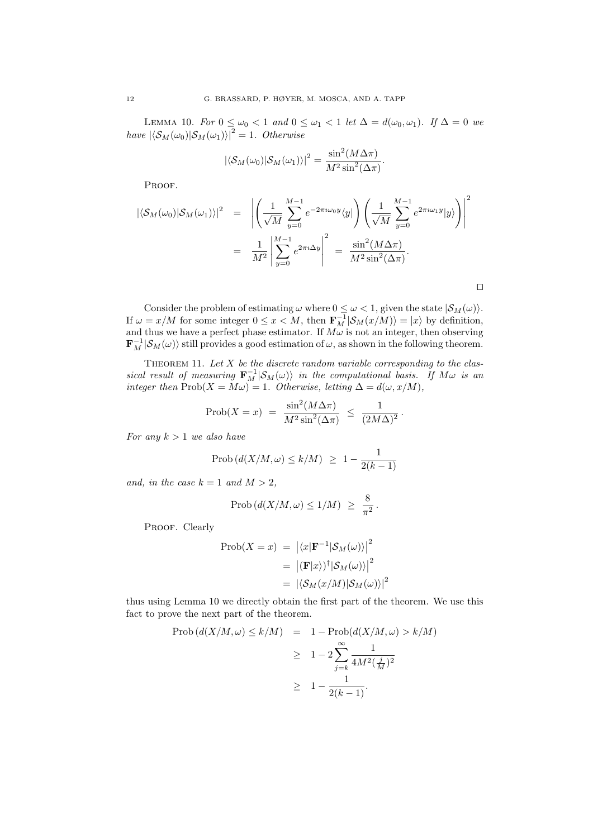LEMMA 10. For  $0 \leq \omega_0 < 1$  and  $0 \leq \omega_1 < 1$  let  $\Delta = d(\omega_0, \omega_1)$ . If  $\Delta = 0$  we have  $|\langle \mathcal{S}_M(\omega_0)|\mathcal{S}_M(\omega_1)\rangle|^2 = 1$ . Otherwise

$$
|\langle \mathcal{S}_M(\omega_0) | \mathcal{S}_M(\omega_1) \rangle|^2 = \frac{\sin^2(M\Delta \pi)}{M^2 \sin^2(\Delta \pi)}.
$$

PROOF.

$$
\begin{split} |\langle \mathcal{S}_M(\omega_0) | \mathcal{S}_M(\omega_1) \rangle|^2 &= \left| \left( \frac{1}{\sqrt{M}} \sum_{y=0}^{M-1} e^{-2\pi i \omega_0 y} \langle y | \right) \left( \frac{1}{\sqrt{M}} \sum_{y=0}^{M-1} e^{2\pi i \omega_1 y} | y \rangle \right) \right|^2 \\ &= \frac{1}{M^2} \left| \sum_{y=0}^{M-1} e^{2\pi i \Delta y} \right|^2 = \frac{\sin^2(M\Delta\pi)}{M^2 \sin^2(\Delta\pi)}. \end{split}
$$

 $\Box$ 

Consider the problem of estimating  $\omega$  where  $0 \leq \omega < 1$ , given the state  $|\mathcal{S}_M(\omega)|$ . If  $\omega = x/M$  for some integer  $0 \le x < M$ , then  $\mathbf{F}_M^{-1}|\mathcal{S}_M(x/M)\rangle = |x\rangle$  by definition, and thus we have a perfect phase estimator. If  $M\omega$  is not an integer, then observing  $\mathbf{F}_M^{-1}|\mathcal{S}_M(\omega)\rangle$  still provides a good estimation of  $\omega$ , as shown in the following theorem.

THEOREM 11. Let  $X$  be the discrete random variable corresponding to the classical result of measuring  $\mathbf{F}_M^{-1}|\mathcal{S}_M(\omega)\rangle$  in the computational basis. If  $M\omega$  is an integer then  $\text{Prob}(X = M\omega) = 1$ . Otherwise, letting  $\Delta = d(\omega, x/M)$ ,

$$
\text{Prob}(X = x) = \frac{\sin^2(M\Delta\pi)}{M^2 \sin^2(\Delta\pi)} \le \frac{1}{(2M\Delta)^2}
$$

.

For any  $k > 1$  we also have

$$
\mathrm{Prob}\left(d(X/M,\omega) \le k/M\right) \ge 1 - \frac{1}{2(k-1)}
$$

and, in the case  $k = 1$  and  $M > 2$ ,

$$
\mathrm{Prob}\left(d(X/M,\omega) \le 1/M\right) \ \ge \ \frac{8}{\pi^2} \, .
$$

PROOF. Clearly

$$
\begin{aligned} \text{Prob}(X=x) \ &= \left| \langle x | \mathbf{F}^{-1} | \mathcal{S}_M(\omega) \rangle \right|^2 \\ &= \left| (\mathbf{F}|x) \right|^\dagger | \mathcal{S}_M(\omega) \rangle \right|^2 \\ &= \left| \langle \mathcal{S}_M(x/M) | \mathcal{S}_M(\omega) \rangle \right|^2 \end{aligned}
$$

thus using Lemma 10 we directly obtain the first part of the theorem. We use this fact to prove the next part of the theorem.

$$
\begin{array}{rcl} \text{Prob}\left(d(X/M,\omega) \le k/M\right) & = & 1 - \text{Prob}\left(d(X/M,\omega) > k/M\right) \\ \\ & \ge & 1 - 2\sum_{j=k}^{\infty} \frac{1}{4M^2(\frac{j}{M})^2} \\ \\ & \ge & 1 - \frac{1}{2(k-1)}. \end{array}
$$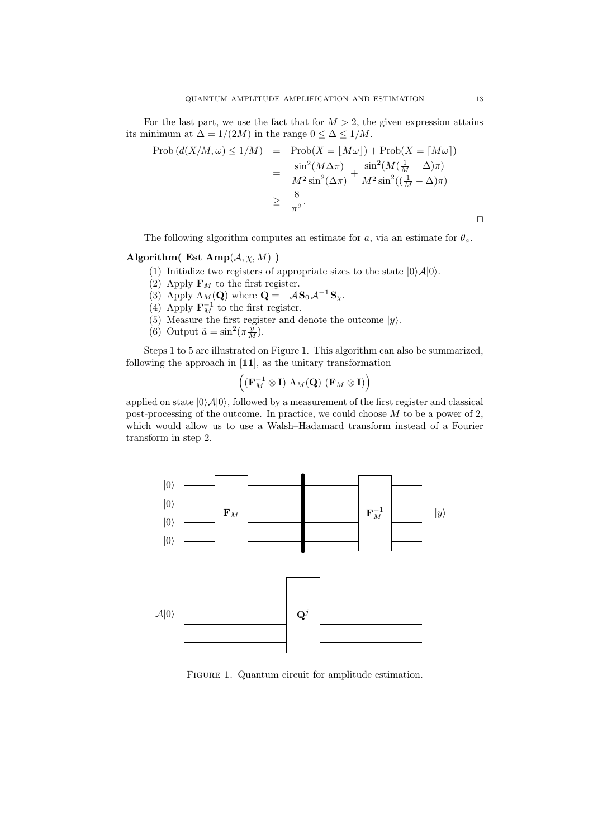For the last part, we use the fact that for  $M > 2$ , the given expression attains its minimum at  $\Delta = 1/(2M)$  in the range  $0 \leq \Delta \leq 1/M$ .

$$
\begin{array}{rcl}\n\text{Prob}\left(d(X/M,\omega)\leq 1/M\right) & = & \text{Prob}(X=\lfloor M\omega\rfloor) + \text{Prob}(X=\lceil M\omega\rceil) \\
& = & \frac{\sin^2(M\Delta\pi)}{M^2\sin^2(\Delta\pi)} + \frac{\sin^2(M(\frac{1}{M}-\Delta)\pi)}{M^2\sin^2((\frac{1}{M}-\Delta)\pi)} \\
& \geq & \frac{8}{\pi^2}.\n\end{array}
$$

The following algorithm computes an estimate for a, via an estimate for  $\theta_a$ .

# Algorithm(  $Est_Amp(A, \chi, M)$  )

- (1) Initialize two registers of appropriate sizes to the state  $|0\rangle \mathcal{A}|0\rangle$ .
- (2) Apply  $\mathbf{F}_M$  to the first register.
- (3) Apply  $\Lambda_M(\mathbf{Q})$  where  $\mathbf{Q} = -A\mathbf{S}_0 A^{-1}\mathbf{S}_\chi$ .
- (4) Apply  $\mathbf{F}_M^{-1}$  to the first register.
- (5) Measure the first register and denote the outcome  $|y\rangle$ .
- (6) Output  $\tilde{a} = \sin^2(\pi \frac{y}{M}).$

Steps 1 to 5 are illustrated on Figure 1. This algorithm can also be summarized, following the approach in [11], as the unitary transformation

$$
\Big((\mathbf{F}_M^{-1}\otimes \mathbf{I})\,\,\Lambda_M(\mathbf{Q})\,\,(\mathbf{F}_M\otimes \mathbf{I})\Big)
$$

applied on state  $|0\rangle\mathcal{A}|0\rangle$ , followed by a measurement of the first register and classical post-processing of the outcome. In practice, we could choose M to be a power of 2, which would allow us to use a Walsh–Hadamard transform instead of a Fourier transform in step 2.



FIGURE 1. Quantum circuit for amplitude estimation.

 $\Box$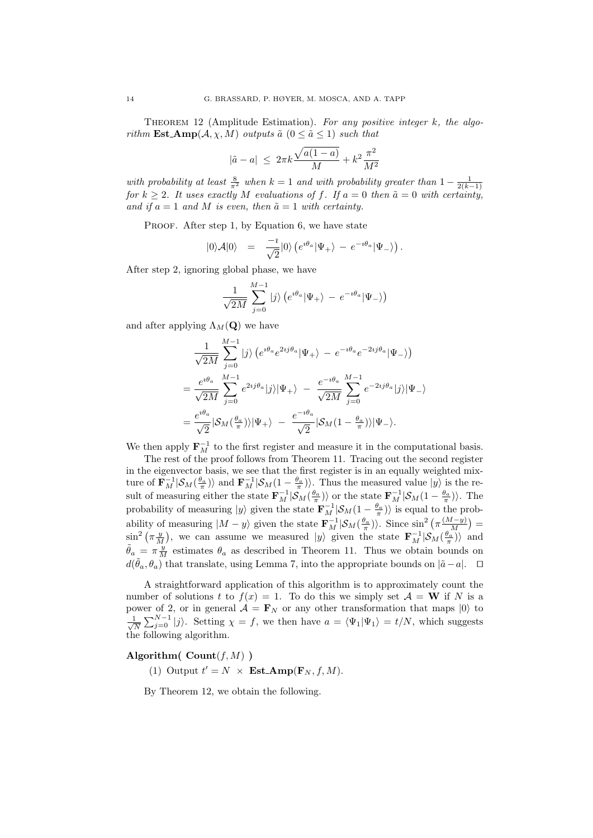THEOREM 12 (Amplitude Estimation). For any positive integer  $k$ , the algorithm **Est\_Amp** $(A, \chi, M)$  outputs  $\tilde{a}$   $(0 \leq \tilde{a} \leq 1)$  such that

$$
|\tilde{a}-a| \ \le \ 2\pi k \frac{\sqrt{a(1-a)}}{M} + k^2 \frac{\pi^2}{M^2}
$$

with probability at least  $\frac{8}{\pi^2}$  when  $k=1$  and with probability greater than  $1-\frac{1}{2(k-1)}$ for  $k \geq 2$ . It uses exactly M evaluations of f. If  $a = 0$  then  $\tilde{a} = 0$  with certainty, and if  $a = 1$  and M is even, then  $\tilde{a} = 1$  with certainty.

PROOF. After step 1, by Equation 6, we have state

$$
|0\rangle\mathcal{A}|0\rangle = \frac{-i}{\sqrt{2}}|0\rangle \left(e^{i\theta_a}|\Psi_+\rangle - e^{-i\theta_a}|\Psi_-\rangle\right).
$$

After step 2, ignoring global phase, we have

$$
\frac{1}{\sqrt{2M}}\sum_{j=0}^{M-1}\left|j\right\rangle \left(e^{\imath \theta_{a}}|\Psi_{+}\rangle\,-\,e^{-\imath \theta_{a}}|\Psi_{-}\rangle\right)
$$

and after applying  $\Lambda_M(Q)$  we have

$$
\frac{1}{\sqrt{2M}} \sum_{j=0}^{M-1} |j\rangle \left(e^{i\theta_a} e^{2ij\theta_a} |\Psi_+\rangle - e^{-i\theta_a} e^{-2ij\theta_a} |\Psi_-\rangle\right)
$$
  
= 
$$
\frac{e^{i\theta_a}}{\sqrt{2M}} \sum_{j=0}^{M-1} e^{2ij\theta_a} |j\rangle |\Psi_+\rangle - \frac{e^{-i\theta_a}}{\sqrt{2M}} \sum_{j=0}^{M-1} e^{-2ij\theta_a} |j\rangle |\Psi_-\rangle
$$
  
= 
$$
\frac{e^{i\theta_a}}{\sqrt{2}} |S_M(\frac{\theta_a}{\pi})\rangle |\Psi_+\rangle - \frac{e^{-i\theta_a}}{\sqrt{2}} |S_M(1-\frac{\theta_a}{\pi})\rangle |\Psi_-\rangle.
$$

We then apply  $\mathbf{F}_M^{-1}$  to the first register and measure it in the computational basis.

The rest of the proof follows from Theorem 11. Tracing out the second register in the eigenvector basis, we see that the first register is in an equally weighted mixture of  $\mathbf{F}_{M}^{-1}|\mathcal{S}_{M}(\frac{\theta_{a}}{\pi})\rangle$  and  $\mathbf{F}_{M}^{-1}|\mathcal{S}_{M}(1-\frac{\theta_{a}}{\pi})\rangle$ . Thus the measured value  $|y\rangle$  is the result of measuring either the state  $\mathbf{F}_M^{-1}|\mathcal{S}_M(\frac{\theta_a}{\pi})\rangle$  or the state  $\mathbf{F}_M^{-1}|\mathcal{S}_M(1-\frac{\theta_a}{\pi})\rangle$ . The probability of measuring  $|y\rangle$  given the state  $\mathbf{F}_M^{-1}|\mathcal{S}_M(1-\frac{\theta_a}{\pi})\rangle$  is equal to the probability of measuring  $|M-y\rangle$  given the state  $\mathbf{F}_{M}^{-1}|\mathcal{S}_{M}(\frac{\theta_{a}}{\pi})\rangle$ . Since  $\sin^{2}(\pi \frac{(M-y)}{M})$  $\frac{1-y)}{M}$ ) =  $\sin^2(\pi \frac{y}{M})$ , we can assume we measured  $|y\rangle$  given the state  $\mathbf{F}_M^{-1}|\mathcal{S}_M(\frac{\theta_a}{\pi})\rangle$  and  $\tilde{\theta}_a = \pi \frac{y}{M}$  estimates  $\theta_a$  as described in Theorem 11. Thus we obtain bounds on  $d(\tilde{\theta}_a, \theta_a)$  that translate, using Lemma 7, into the appropriate bounds on  $|\tilde{a}-a|$ .  $\Box$ 

A straightforward application of this algorithm is to approximately count the number of solutions t to  $f(x) = 1$ . To do this we simply set  $\mathcal{A} = \mathbf{W}$  if N is a power of 2, or in general  $\mathcal{A} = \mathbf{F}_N$  or any other transformation that maps  $|0\rangle$  to √ 1  $\frac{1}{N}\sum_{j=0}^{N-1} |j\rangle$ . Setting  $\chi = f$ , we then have  $a = \langle \Psi_1 | \Psi_1 \rangle = t/N$ , which suggests the following algorithm.

# Algorithm( $\text{Count}(f, M)$ )

(1) Output  $t' = N \times \textbf{Est\_Amp}(\mathbf{F}_N, f, M)$ .

By Theorem 12, we obtain the following.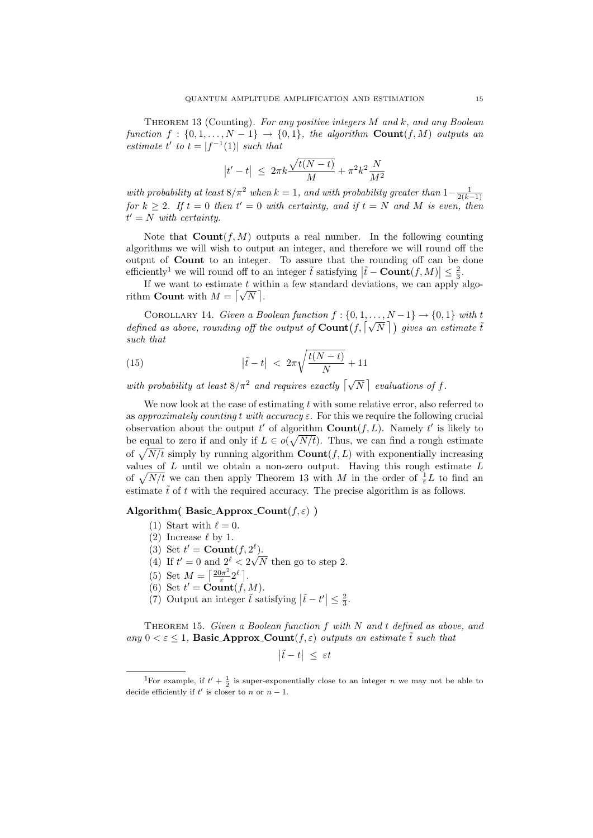Theorem 13 (Counting). For any positive integers M and k, and any Boolean function  $f : \{0, 1, \ldots, N-1\} \rightarrow \{0, 1\}$ , the algorithm  $Count(f, M)$  outputs an estimate t' to  $t = |f^{-1}(1)|$  such that

$$
|t'-t| \ \le \ 2\pi k \frac{\sqrt{t(N-t)}}{M} + \pi^2 k^2 \frac{N}{M^2}
$$

with probability at least  $8/\pi^2$  when  $k = 1$ , and with probability greater than  $1-\frac{1}{2(k-1)}$ for  $k \geq 2$ . If  $t = 0$  then  $t' = 0$  with certainty, and if  $t = N$  and M is even, then  $\mathcal{H}' = N$  with certainty.

Note that  $Count(f, M)$  outputs a real number. In the following counting algorithms we will wish to output an integer, and therefore we will round off the output of Count to an integer. To assure that the rounding off can be done efficiently<sup>1</sup> we will round off to an integer  $\tilde{t}$  satisfying  $|\tilde{t} - \text{Count}(f, M)| \leq \frac{2}{3}$ .

If we want to estimate  $t$  within a few standard deviations, we can apply algo-If we want to estimate t with<br>rithm **Count** with  $M = \lfloor \sqrt{N} \rfloor$ .

COROLLARY 14. Given a Boolean function  $f: \{0, 1, \ldots, N-1\} \rightarrow \{0, 1\}$  with t COROLLARY 14. Given a Boolean function  $f: \{0, 1, ..., N-1\} \to \{0, 1\}$  with the defined as above, rounding off the output of  $\text{Count}(f, \lfloor \sqrt{N} \rfloor)$  gives an estimate  $\tilde{t}$ such that

(15) 
$$
|\tilde{t} - t| < 2\pi \sqrt{\frac{t(N-t)}{N}} + 11
$$

with probability at least  $8/\pi^2$  and requires exactly  $\lceil \sqrt{N} \rceil$  evaluations of f.

We now look at the case of estimating  $t$  with some relative error, also referred to as approximately counting t with accuracy  $\varepsilon$ . For this we require the following crucial observation about the output t' of algorithm  $\text{Count}(f, L)$ . Namely t' is likely to be equal to zero if and only if  $L \in o(\sqrt{N/t})$ . Thus, we can find a rough estimate of  $\sqrt{N/t}$  simply by running algorithm  $\text{Count}(f, L)$  with exponentially increasing values of  $L$  until we obtain a non-zero output. Having this rough estimate  $L$ of  $\sqrt{N/t}$  we can then apply Theorem 13 with M in the order of  $\frac{1}{\varepsilon}L$  to find an estimate  $\tilde{t}$  of t with the required accuracy. The precise algorithm is as follows.

# Algorithm( Basic Approx Count $(f, \varepsilon)$ )

- (1) Start with  $\ell = 0$ .
- (2) Increase  $\ell$  by 1.
- (3) Set  $t' = \text{Count}(f, 2^{\ell}).$
- (4) If  $t' = 0$  and  $2^{\ell} < 2\sqrt{N}$  then go to step 2.
- (5) Set  $M = \left[\frac{20\pi^2}{s}\right]$  $\frac{\partial \pi^2}{\varepsilon} 2^{\ell}$ .
- (6) Set  $t' = \text{Count}(f, M)$ .
- (7) Output an integer  $\tilde{t}$  satisfying  $|\tilde{t} t'| \leq \frac{2}{3}$ .

THEOREM 15. Given a Boolean function  $f$  with  $N$  and  $t$  defined as above, and any  $0 < \varepsilon \leq 1$ , Basic Approx Count  $(f, \varepsilon)$  outputs an estimate  $\tilde{t}$  such that

$$
\left|\tilde{t}-t\right| \ \leq \ \varepsilon t
$$

<sup>&</sup>lt;sup>1</sup>For example, if  $t' + \frac{1}{2}$  is super-exponentially close to an integer *n* we may not be able to decide efficiently if t' is closer to n or  $n-1$ .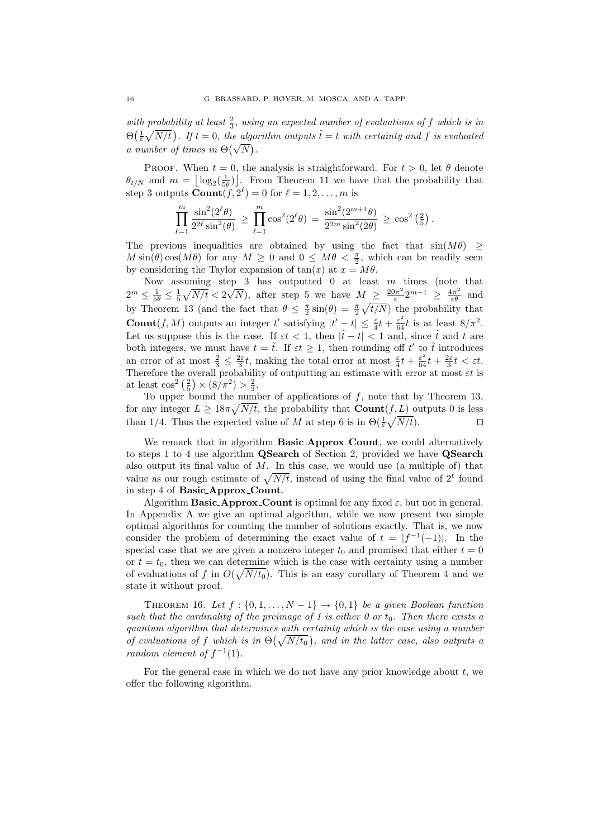with probability at least  $\frac{2}{3}$ , using an expected number of evaluations of f which is in  $\Theta\left(\frac{1}{\varepsilon}\sqrt{N/t}\right)$ . If  $t=0$ , the algorithm outputs  $\tilde{t}=t$  with certainty and f is evaluated  $\Theta(\frac{1}{\varepsilon}\sqrt{N/t})$ . If  $t=0$ , the algo<br>a number of times in  $\Theta(\sqrt{N})$ .

PROOF. When  $t = 0$ , the analysis is straightforward. For  $t > 0$ , let  $\theta$  denote  $\theta_{t/N}$  and  $m = \lfloor \log_2(\frac{1}{5\theta}) \rfloor$ . From Theorem 11 we have that the probability that step 3 outputs  $\text{Count}(f, 2^{\ell}) = 0$  for  $\ell = 1, 2, ..., m$  is

$$
\prod_{\ell=1}^m\frac{\sin^2(2^\ell\theta)}{2^{2\ell}\sin^2(\theta)}\,\geq\,\prod_{\ell=1}^m\cos^2(2^\ell\theta)\,=\,\frac{\sin^2(2^{m+1}\theta)}{2^{2m}\sin^2(2\theta)}\,\geq\,\cos^2\left(\tfrac{2}{5}\right).
$$

The previous inequalities are obtained by using the fact that  $sin(M\theta) \ge$  $M \sin(\theta) \cos(M\theta)$  for any  $M \geq 0$  and  $0 \leq M\theta < \frac{\pi}{2}$ , which can be readily seen by considering the Taylor expansion of  $tan(x)$  at  $x = M\theta$ .

Now assuming step 3 has outputted 0 at least  $m$  times (note that  $2^m \leq \frac{1}{5\theta} \leq \frac{1}{5}\sqrt{N/t} < 2$  $_{\rm er}$  $\overline{N}$ ), after step 5 we have  $M \geq \frac{20\pi^2}{s}$  $\frac{2m}{\varepsilon}2^{m+1} \geq \frac{4\pi^2}{\varepsilon\theta}$  and by Theorem 13 (and the fact that  $\theta \leq \frac{\pi}{2} \sin(\theta) = \frac{\pi}{2} \sqrt{t/N}$ ) the probability that **Count** $(f, M)$  outputs an integer t' satisfying  $|t'-t| \leq \frac{\varepsilon}{4}t + \frac{\varepsilon^2}{64}t$  is at least  $8/\pi^2$ . Let us suppose this is the case. If  $\varepsilon t < 1$ , then  $|\tilde{t} - t| < 1$  and, since  $\tilde{t}$  and t are both integers, we must have  $t = \tilde{t}$ . If  $\varepsilon t \geq 1$ , then rounding off t' to  $\tilde{t}$  introduces an error of at most  $\frac{2}{3} \leq \frac{2\varepsilon}{3}t$ , making the total error at most  $\frac{\varepsilon}{4}t + \frac{\varepsilon^2}{64}t + \frac{2\varepsilon}{3}t < \varepsilon t$ . Therefore the overall probability of outputting an estimate with error at most  $\varepsilon t$  is at least  $\cos^2\left(\frac{2}{5}\right) \times \left(\frac{8}{\pi^2}\right) > \frac{2}{3}$ .

To upper bound the number of applications of  $f$ , note that by Theorem 13, for any integer  $L \geq 18\pi \sqrt{N/t}$ , the probability that  $\text{Count}(f, L)$  outputs 0 is less than 1/4. Thus the expected value of M at step 6 is in  $\Theta(\frac{1}{\varepsilon}\sqrt{N/t})$ .

We remark that in algorithm Basic\_Approx\_Count, we could alternatively to steps 1 to 4 use algorithm QSearch of Section 2, provided we have QSearch also output its final value of  $M$ . In this case, we would use (a multiple of) that value as our rough estimate of  $\sqrt{N/t}$ , instead of using the final value of  $2^\ell$  found in step 4 of Basic Approx Count.

Algorithm Basic\_Approx\_Count is optimal for any fixed  $\varepsilon$ , but not in general. In Appendix A we give an optimal algorithm, while we now present two simple optimal algorithms for counting the number of solutions exactly. That is, we now consider the problem of determining the exact value of  $t = |f^{-1}(-1)|$ . In the special case that we are given a nonzero integer  $t_0$  and promised that either  $t = 0$ or  $t = t_0$ , then we can determine which is the case with certainty using a number of evaluations of f in  $O(\sqrt{N/t_0})$ . This is an easy corollary of Theorem 4 and we state it without proof.

THEOREM 16. Let  $f : \{0, 1, \ldots, N-1\} \rightarrow \{0, 1\}$  be a given Boolean function such that the cardinality of the preimage of 1 is either 0 or  $t_0$ . Then there exists a quantum algorithm that determines with certainty which is the case using a number of evaluations of f which is in  $\Theta(\sqrt{N/t_0})$ , and in the latter case, also outputs a random element of  $f^{-1}(1)$ .

For the general case in which we do not have any prior knowledge about  $t$ , we offer the following algorithm.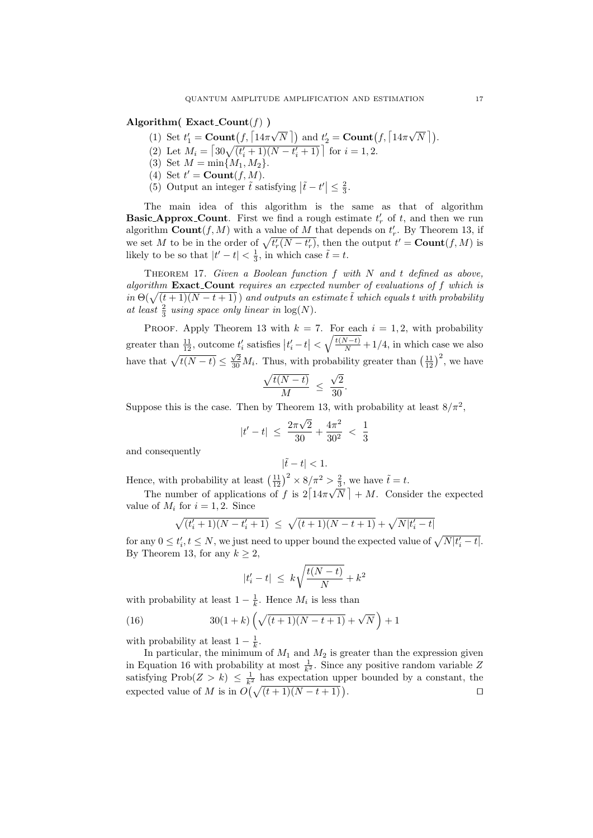Algorithm( $\text{Exact\_Count}(f)$ )

- (1) Set  $t'_1 = \text{Count}(f, \lceil 14\pi \rceil)$  $\overline{N}$  ) and  $t'_{2} = \text{Count}(f, \lceil 14\pi \rceil)$  $\sqrt{N}$  ).
- (2) Let  $M_i = \left[30\sqrt{(t'_i+1)(N-t'_i+1)}\right]$  for  $i = 1, 2$ .
- (3) Set  $M = \min\{M_1, M_2\}.$
- (4) Set  $t' = \text{Count}(f, M)$ .
- (5) Output an integer  $\tilde{t}$  satisfying  $|\tilde{t} t'| \leq \frac{2}{3}$ .

The main idea of this algorithm is the same as that of algorithm **Basic\_Approx\_Count**. First we find a rough estimate  $t'_r$  of  $t$ , and then we run algorithm **Count** $(f, M)$  with a value of M that depends on  $t'_r$ . By Theorem 13, if we set M to be in the order of  $\sqrt{t_r'(N-t_r')}$ , then the output  $t' = \text{Count}(f, M)$  is likely to be so that  $|t'-t| < \frac{1}{3}$ , in which case  $\tilde{t} = t$ .

THEOREM 17. Given a Boolean function  $f$  with  $N$  and  $t$  defined as above, algorithm Exact Count requires an expected number of evaluations of f which is in  $\Theta(\sqrt{(t+1)(N-t+1)})$  and outputs an estimate twhich equals twith probability at least  $\frac{2}{3}$  using space only linear in  $\log(N)$ .

PROOF. Apply Theorem 13 with  $k = 7$ . For each  $i = 1, 2$ , with probability greater than  $\frac{11}{12}$ , outcome  $t'_i$  satisfies  $|t'_i - t| < \sqrt{\frac{t(N-t)}{N}} + 1/4$ , in which case we also have that  $\sqrt{t(N-t)} \leq \frac{\sqrt{2}}{30} M_i$ . Thus, with probability greater than  $\left(\frac{11}{12}\right)^2$ , we have

$$
\frac{\sqrt{t(N-t)}}{M} \ \leq \ \frac{\sqrt{2}}{30}
$$

.

Suppose this is the case. Then by Theorem 13, with probability at least  $8/\pi^2$ ,

$$
|t'-t| \ \leq \ \frac{2\pi\sqrt{2}}{30} + \frac{4\pi^2}{30^2} \ < \ \frac{1}{3}
$$

and consequently

$$
|\tilde{t}-t|<1.
$$

Hence, with probability at least  $\left(\frac{11}{12}\right)^2 \times 8/\pi^2 > \frac{2}{3}$ , we have  $\tilde{t} = t$ .

The number of applications of f is  $2\left[14\pi\sqrt{N}\right] + M$ . Consider the expected value of  $M_i$  for  $i = 1, 2$ . Since

$$
\sqrt{(t'_i+1)(N-t'_i+1)} \le \sqrt{(t+1)(N-t+1)} + \sqrt{N|t'_i-t|}
$$

for any  $0 \le t'_i, t \le N$ , we just need to upper bound the expected value of  $\sqrt{N|t'_i-t|}$ . By Theorem 13, for any  $k \geq 2$ ,

$$
|t'_i - t| \le k\sqrt{\frac{t(N-t)}{N}} + k^2
$$

with probability at least  $1 - \frac{1}{k}$ . Hence  $M_i$  is less than

(16) 
$$
30(1+k)\left(\sqrt{(t+1)(N-t+1)}+\sqrt{N}\right)+1
$$

with probability at least  $1 - \frac{1}{k}$ .

In particular, the minimum of  $M_1$  and  $M_2$  is greater than the expression given in Equation 16 with probability at most  $\frac{1}{k^2}$ . Since any positive random variable Z satisfying Prob $(Z > k) \leq \frac{1}{k^2}$  has expectation upper bounded by a constant, the expected value of M is in  $O(\sqrt{(t+1)(N-t+1)})$ . **D**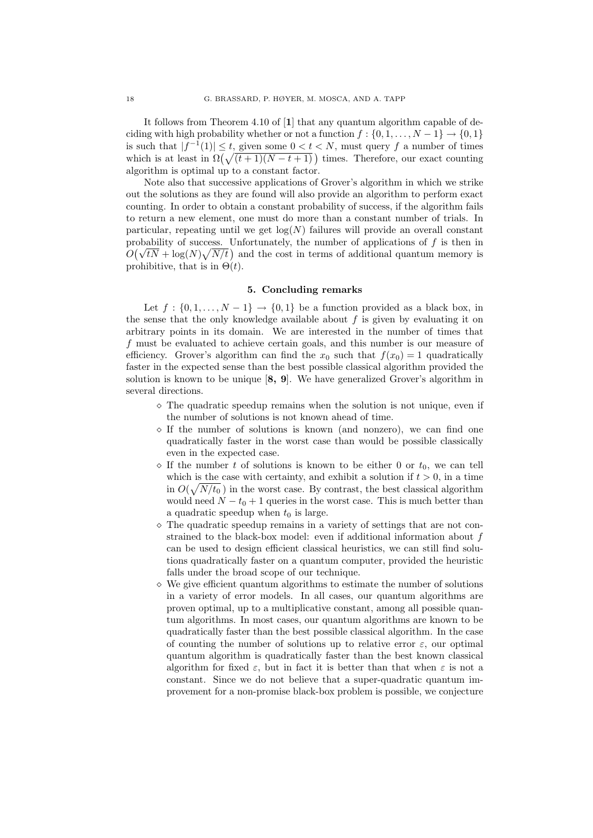It follows from Theorem 4.10 of [1] that any quantum algorithm capable of deciding with high probability whether or not a function  $f : \{0, 1, \ldots, N-1\} \rightarrow \{0, 1\}$ is such that  $|f^{-1}(1)| \leq t$ , given some  $0 < t < N$ , must query f a number of times which is at least in  $\Omega(\sqrt{(t+1)(N-t+1)})$  times. Therefore, our exact counting algorithm is optimal up to a constant factor.

Note also that successive applications of Grover's algorithm in which we strike out the solutions as they are found will also provide an algorithm to perform exact counting. In order to obtain a constant probability of success, if the algorithm fails to return a new element, one must do more than a constant number of trials. In particular, repeating until we get  $log(N)$  failures will provide an overall constant probability of success. Unfortunately, the number of applications of f is then in probability of success. Unfortunately, the number of applications of f is then in  $O(\sqrt{tN} + \log(N)\sqrt{N/t})$  and the cost in terms of additional quantum memory is prohibitive, that is in  $\Theta(t)$ .

### 5. Concluding remarks

Let  $f : \{0, 1, \ldots, N-1\} \rightarrow \{0, 1\}$  be a function provided as a black box, in the sense that the only knowledge available about  $f$  is given by evaluating it on arbitrary points in its domain. We are interested in the number of times that f must be evaluated to achieve certain goals, and this number is our measure of efficiency. Grover's algorithm can find the  $x_0$  such that  $f(x_0) = 1$  quadratically faster in the expected sense than the best possible classical algorithm provided the solution is known to be unique [8, 9]. We have generalized Grover's algorithm in several directions.

- $\Diamond$  The quadratic speedup remains when the solution is not unique, even if the number of solutions is not known ahead of time.
- $\circ$  If the number of solutions is known (and nonzero), we can find one quadratically faster in the worst case than would be possible classically even in the expected case.
- $\Diamond$  If the number t of solutions is known to be either 0 or  $t_0$ , we can tell which is the case with certainty, and exhibit a solution if  $t > 0$ , in a time in  $O(\sqrt{N/t_0})$  in the worst case. By contrast, the best classical algorithm would need  $N - t_0 + 1$  queries in the worst case. This is much better than a quadratic speedup when  $t_0$  is large.
- $\Diamond$  The quadratic speedup remains in a variety of settings that are not constrained to the black-box model: even if additional information about f can be used to design efficient classical heuristics, we can still find solutions quadratically faster on a quantum computer, provided the heuristic falls under the broad scope of our technique.
- $\Diamond$  We give efficient quantum algorithms to estimate the number of solutions in a variety of error models. In all cases, our quantum algorithms are proven optimal, up to a multiplicative constant, among all possible quantum algorithms. In most cases, our quantum algorithms are known to be quadratically faster than the best possible classical algorithm. In the case of counting the number of solutions up to relative error  $\varepsilon$ , our optimal quantum algorithm is quadratically faster than the best known classical algorithm for fixed  $\varepsilon$ , but in fact it is better than that when  $\varepsilon$  is not a constant. Since we do not believe that a super-quadratic quantum improvement for a non-promise black-box problem is possible, we conjecture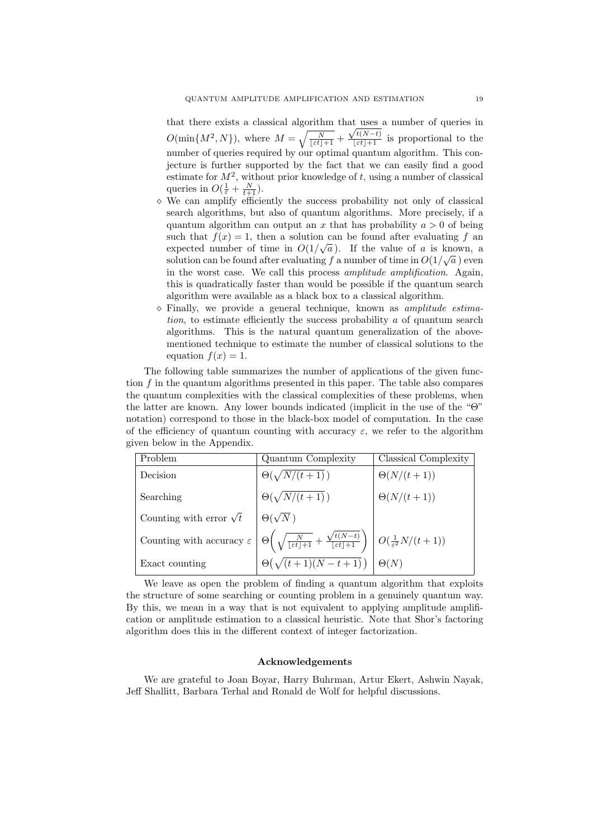that there exists a classical algorithm that uses a number of queries in  $O(\min\{M^2, N\})$ , where  $M = \sqrt{\frac{N}{\lfloor \varepsilon t \rfloor + 1}} + \frac{\sqrt{t(N-t)}}{\lfloor \varepsilon t \rfloor + 1}$  is proportional to the number of queries required by our optimal quantum algorithm. This conjecture is further supported by the fact that we can easily find a good estimate for  $M^2$ , without prior knowledge of t, using a number of classical queries in  $O(\frac{1}{\varepsilon} + \frac{N}{t+1})$ .

- We can amplify efficiently the success probability not only of classical search algorithms, but also of quantum algorithms. More precisely, if a quantum algorithm can output an x that has probability  $a > 0$  of being such that  $f(x) = 1$ , then a solution can be found after evaluating f an expected number of time in  $O(1/\sqrt{a})$ . If the value of a is known, a solution can be found after evaluating f a number of time in  $O(1/\sqrt{a})$  even in the worst case. We call this process amplitude amplification. Again, this is quadratically faster than would be possible if the quantum search algorithm were available as a black box to a classical algorithm.
- $\diamond$  Finally, we provide a general technique, known as *amplitude estima*tion, to estimate efficiently the success probability a of quantum search algorithms. This is the natural quantum generalization of the abovementioned technique to estimate the number of classical solutions to the equation  $f(x) = 1$ .

The following table summarizes the number of applications of the given function  $f$  in the quantum algorithms presented in this paper. The table also compares the quantum complexities with the classical complexities of these problems, when the latter are known. Any lower bounds indicated (implicit in the use of the "Θ" notation) correspond to those in the black-box model of computation. In the case of the efficiency of quantum counting with accuracy  $\varepsilon$ , we refer to the algorithm given below in the Appendix.

| Problem                              | Quantum Complexity                                                                                                                                                       | Classical Complexity |
|--------------------------------------|--------------------------------------------------------------------------------------------------------------------------------------------------------------------------|----------------------|
| Decision                             | $\Theta(\sqrt{N/(t+1)})$                                                                                                                                                 | $\Theta(N/(t+1))$    |
| Searching                            | $\Theta(\sqrt{N/(t+1)})$                                                                                                                                                 | $\Theta(N/(t+1))$    |
| Counting with error $\sqrt{t}$       | $\Theta(\sqrt{N})$                                                                                                                                                       |                      |
| Counting with accuracy $\varepsilon$ | $\Theta\left(\sqrt{\frac{N}{\lfloor \varepsilon t \rfloor + 1}} + \frac{\sqrt{t(N-t)}}{\lfloor \varepsilon t \rfloor + 1}\right) \mid O(\frac{1}{\varepsilon^2}N/(t+1))$ |                      |
| Exact counting                       | $\Theta\left(\sqrt{(t+1)(N-t+1)}\right)$                                                                                                                                 | $\Theta(N)$          |

We leave as open the problem of finding a quantum algorithm that exploits the structure of some searching or counting problem in a genuinely quantum way. By this, we mean in a way that is not equivalent to applying amplitude amplification or amplitude estimation to a classical heuristic. Note that Shor's factoring algorithm does this in the different context of integer factorization.

#### Acknowledgements

We are grateful to Joan Boyar, Harry Buhrman, Artur Ekert, Ashwin Nayak, Jeff Shallitt, Barbara Terhal and Ronald de Wolf for helpful discussions.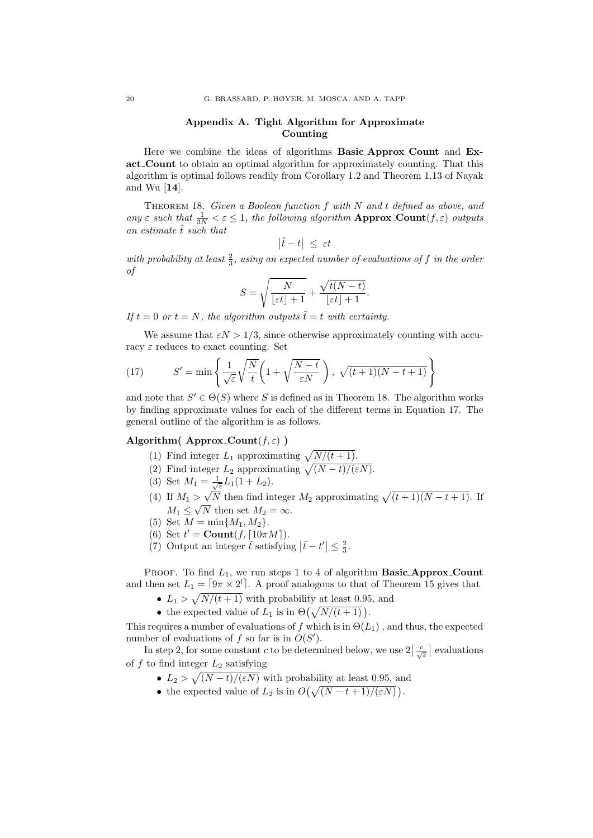# Appendix A. Tight Algorithm for Approximate Counting

Here we combine the ideas of algorithms Basic Approx Count and Exact Count to obtain an optimal algorithm for approximately counting. That this algorithm is optimal follows readily from Corollary 1.2 and Theorem 1.13 of Nayak and Wu [14].

THEOREM 18. Given a Boolean function  $f$  with  $N$  and  $t$  defined as above, and any  $\varepsilon$  such that  $\frac{1}{3N} < \varepsilon \leq 1$ , the following algorithm **Approx\_Count** $(f, \varepsilon)$  outputs an estimate  $\tilde{t}$  such that

$$
\left|\tilde{t}-t\right| \ \leq \ \varepsilon t
$$

with probability at least  $\frac{2}{3}$ , using an expected number of evaluations of f in the order of

$$
S = \sqrt{\frac{N}{\lfloor \varepsilon t \rfloor + 1}} + \frac{\sqrt{t(N-t)}}{\lfloor \varepsilon t \rfloor + 1}.
$$

If  $t = 0$  or  $t = N$ , the algorithm outputs  $\tilde{t} = t$  with certainty.

We assume that  $\epsilon N > 1/3$ , since otherwise approximately counting with accuracy  $\varepsilon$  reduces to exact counting. Set

(17) 
$$
S' = \min \left\{ \frac{1}{\sqrt{\varepsilon}} \sqrt{\frac{N}{t}} \left( 1 + \sqrt{\frac{N-t}{\varepsilon N}} \right), \sqrt{(t+1)(N-t+1)} \right\}
$$

and note that  $S' \in \Theta(S)$  where S is defined as in Theorem 18. The algorithm works by finding approximate values for each of the different terms in Equation 17. The general outline of the algorithm is as follows.

# Algorithm( Approx Count $(f, \varepsilon)$ )

- (1) Find integer  $L_1$  approximating  $\sqrt{N/(t+1)}$ .
- (2) Find integer  $L_2$  approximating  $\sqrt{(N-t)/(\varepsilon N)}$ .
- (3) Set  $M_1 = \frac{1}{\sqrt{\varepsilon}} L_1(1 + L_2)$ .
- (4) If  $M_1 > \sqrt{N}$  then find integer  $M_2$  approximating  $\sqrt{(t+1)(N-t+1)}$ . If  $M_1 \leq \sqrt{N}$  then set  $M_2 = \infty$ .
- (5) Set  $M = \min\{M_1, M_2\}.$
- (6) Set  $t' = \text{Count}(f, \lceil 10\pi M \rceil)$ .
- (7) Output an integer  $\tilde{t}$  satisfying  $|\tilde{t} t'| \leq \frac{2}{3}$ .

PROOF. To find  $L_1$ , we run steps 1 to 4 of algorithm **Basic\_Approx\_Count** and then set  $L_1 = \lceil 9\pi \times 2^l \rceil$ . A proof analogous to that of Theorem 15 gives that

- $L_1 > \sqrt{N/(t+1)}$  with probability at least 0.95, and
- the expected value of  $L_1$  is in  $\Theta\left(\sqrt{\frac{N}{t+1}}\right)$ .

This requires a number of evaluations of f which is in  $\Theta(L_1)$ , and thus, the expected number of evaluations of f so far is in  $O(S')$ .

In step 2, for some constant c to be determined below, we use  $2\left\lceil \frac{c}{\sqrt{\varepsilon}} \right\rceil$  evaluations of  $f$  to find integer  $L_2$  satisfying

- $L_2 > \sqrt{(N-t)/(\varepsilon N)}$  with probability at least 0.95, and
- the expected value of  $L_2$  is in  $O(\sqrt{(N-t+1)/(\varepsilon N)})$ .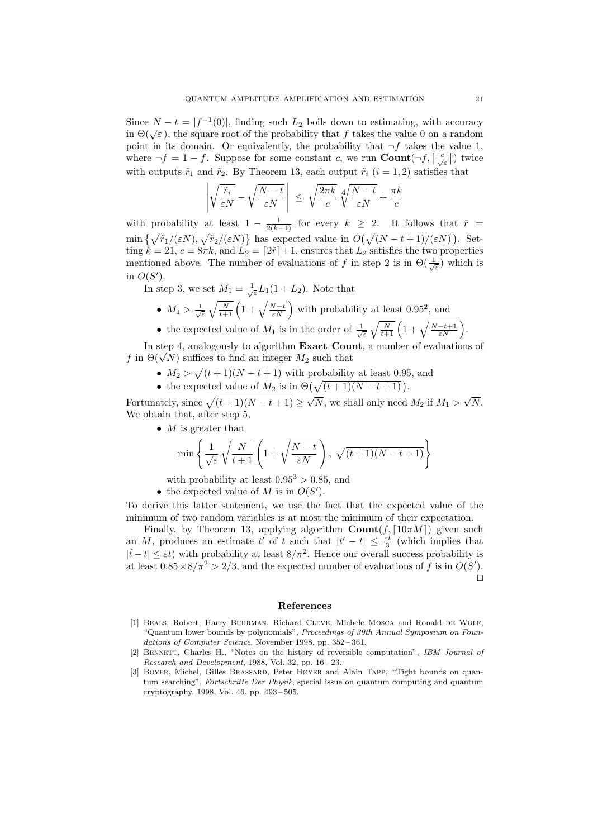Since  $N - t = |f^{-1}(0)|$ , finding such  $L_2$  boils down to estimating, with accuracy Since  $N - t = |f^{-1}(0)|$ , finding such  $L_2$  boils down to estimating, with accuracy in  $\Theta(\sqrt{\varepsilon})$ , the square root of the probability that f takes the value 0 on a random point in its domain. Or equivalently, the probability that  $\neg f$  takes the value 1, where  $\neg f = 1 - f$ . Suppose for some constant c, we run **Count** $(\neg f, \lceil \frac{c}{\sqrt{\varepsilon}} \rceil)$  twice with outputs  $\tilde{r}_1$  and  $\tilde{r}_2$ . By Theorem 13, each output  $\tilde{r}_i$   $(i = 1, 2)$  satisfies that

$$
\left| \sqrt{\frac{\tilde{r}_i}{\varepsilon N}} - \sqrt{\frac{N-t}{\varepsilon N}} \right| \leq \sqrt{\frac{2\pi k}{c}} \sqrt[4]{\frac{N-t}{\varepsilon N}} + \frac{\pi k}{c}
$$

with probability at least  $1 - \frac{1}{2(k-1)}$  for every  $k \geq 2$ . It follows that  $\tilde{r} =$  $\min\{\sqrt{\tilde{r}_1/(\varepsilon N)},\sqrt{\tilde{r}_2/(\varepsilon N)}\}\$ has expected value in  $O(\sqrt{(N-t+1)/(\varepsilon N)})$ . Setting  $k = 21$ ,  $c = 8\pi k$ , and  $L_2 = \lfloor 2\tilde{r} \rfloor + 1$ , ensures that  $L_2$  satisfies the two properties mentioned above. The number of evaluations of f in step 2 is in  $\Theta(\frac{1}{\sqrt{\varepsilon}})$  which is in  $O(S')$ .

In step 3, we set  $M_1 = \frac{1}{\sqrt{\varepsilon}} L_1(1 + L_2)$ . Note that

- $M_1 > \frac{1}{\sqrt{\varepsilon}} \sqrt{\frac{N}{t+1}} \left(1 + \sqrt{\frac{N-t}{\varepsilon N}}\right)$  with probability at least 0.95<sup>2</sup>, and
- the expected value of  $M_1$  is in the order of  $\frac{1}{\sqrt{\varepsilon}}\sqrt{\frac{N}{t+1}}\left(1+\sqrt{\frac{N-t+1}{\varepsilon N}}\right)$ .

In step 4, analogously to algorithm **Exact\_Count**, a number of evaluations of In step 4, analogously to algorithm **Exact\_Cou**  $f$  in  $\Theta(\sqrt{N})$  suffices to find an integer  $M_2$  such that

- $M_2 > \sqrt{(t+1)(N-t+1)}$  with probability at least 0.95, and
- the expected value of  $M_2$  is in  $\Theta\left(\sqrt{(t+1)(N-t+1)}\right)$ .

Fortunately, since  $\sqrt{(t + 1)(N - t + 1)} \ge \sqrt{N}$ , we shall only need  $M_2$  if  $M_1 >$ √ N. We obtain that, after step 5,

•  $M$  is greater than

$$
\min\left\{\frac{1}{\sqrt{\varepsilon}}\sqrt{\frac{N}{t+1}}\left(1+\sqrt{\frac{N-t}{\varepsilon N}}\right),\sqrt{(t+1)(N-t+1)}\right\}
$$

with probability at least  $0.95^3 > 0.85$ , and

• the expected value of M is in  $O(S')$ .

To derive this latter statement, we use the fact that the expected value of the minimum of two random variables is at most the minimum of their expectation.

Finally, by Theorem 13, applying algorithm  $\text{Count}(f, \lceil 10\pi M \rceil)$  given such an M, produces an estimate t' of t such that  $|t'-t| \leq \frac{\varepsilon t}{3}$  (which implies that  $|\tilde{t} - t| \leq \varepsilon t$ ) with probability at least  $8/\pi^2$ . Hence our overall success probability is at least  $0.85 \times 8/\pi^2 > 2/3$ , and the expected number of evaluations of f is in  $O(S')$ .  $\Box$ 

#### References

- [1] Beals, Robert, Harry Buhrman, Richard Cleve, Michele Mosca and Ronald de Wolf, "Quantum lower bounds by polynomials", Proceedings of 39th Annual Symposium on Foundations of Computer Science, November 1998, pp. 352 – 361.
- [2] BENNETT, Charles H., "Notes on the history of reversible computation", IBM Journal of Research and Development, 1988, Vol. 32, pp.  $16-23$ .
- [3] Boyer, Michel, Gilles Brassard, Peter Høyer and Alain Tapp, "Tight bounds on quantum searching", Fortschritte Der Physik, special issue on quantum computing and quantum cryptography, 1998, Vol. 46, pp. 493 – 505.